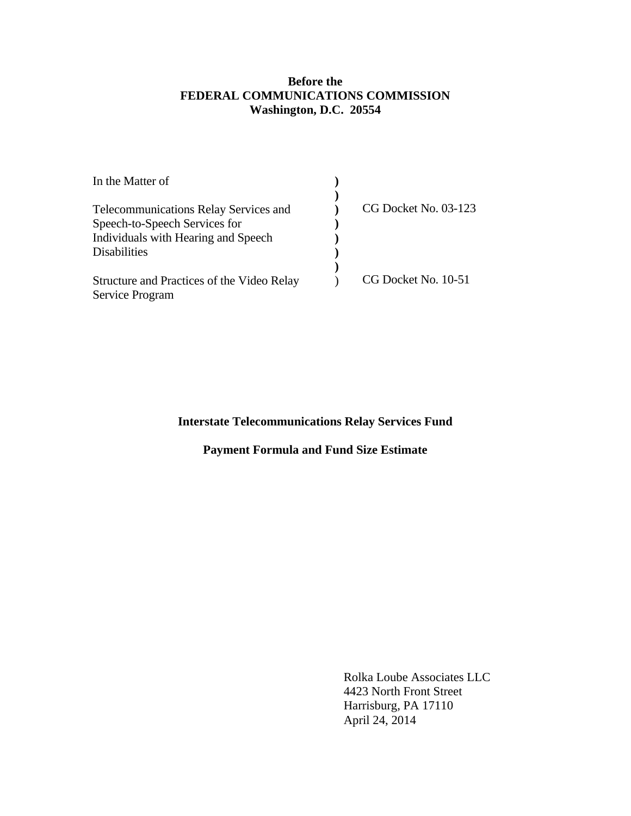## **Before the FEDERAL COMMUNICATIONS COMMISSION Washington, D.C. 20554**

| CG Docket No. 03-123 |
|----------------------|
|                      |
|                      |
|                      |
|                      |
| CG Docket No. 10-51  |
|                      |
|                      |

# **Interstate Telecommunications Relay Services Fund**

# **Payment Formula and Fund Size Estimate**

 Rolka Loube Associates LLC 4423 North Front Street Harrisburg, PA 17110 April 24, 2014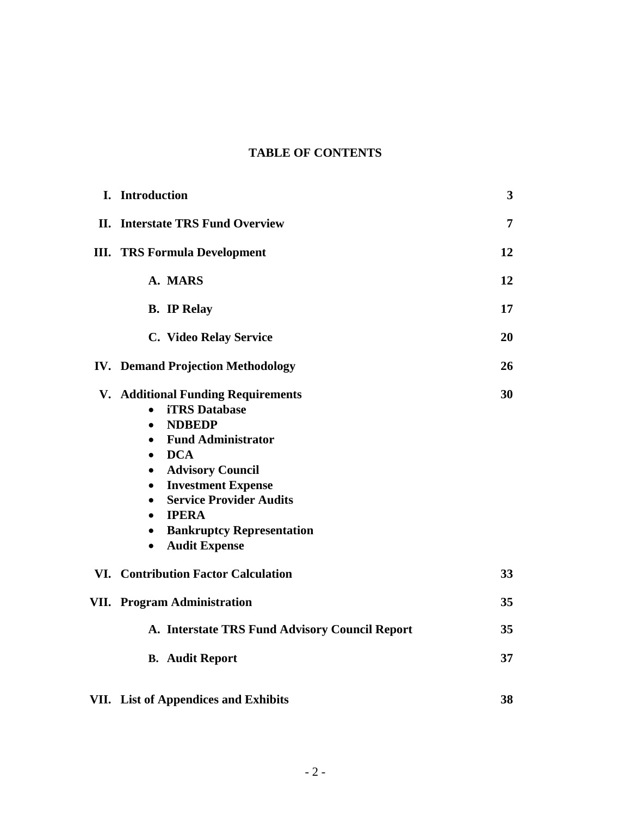# **TABLE OF CONTENTS**

| I. Introduction                                                                                                                                                                                                                                                                                                                                                                                                                       | 3  |
|---------------------------------------------------------------------------------------------------------------------------------------------------------------------------------------------------------------------------------------------------------------------------------------------------------------------------------------------------------------------------------------------------------------------------------------|----|
| <b>II.</b> Interstate TRS Fund Overview                                                                                                                                                                                                                                                                                                                                                                                               | 7  |
| <b>III. TRS Formula Development</b>                                                                                                                                                                                                                                                                                                                                                                                                   | 12 |
| A. MARS                                                                                                                                                                                                                                                                                                                                                                                                                               | 12 |
| <b>B.</b> IP Relay                                                                                                                                                                                                                                                                                                                                                                                                                    | 17 |
| C. Video Relay Service                                                                                                                                                                                                                                                                                                                                                                                                                | 20 |
| <b>IV.</b> Demand Projection Methodology                                                                                                                                                                                                                                                                                                                                                                                              | 26 |
| <b>V. Additional Funding Requirements</b><br><b>iTRS</b> Database<br>$\bullet$<br><b>NDBEDP</b><br>$\bullet$<br><b>Fund Administrator</b><br>$\bullet$<br><b>DCA</b><br>$\bullet$<br><b>Advisory Council</b><br>$\bullet$<br><b>Investment Expense</b><br>$\bullet$<br><b>Service Provider Audits</b><br>$\bullet$<br><b>IPERA</b><br>$\bullet$<br><b>Bankruptcy Representation</b><br>$\bullet$<br><b>Audit Expense</b><br>$\bullet$ | 30 |
| <b>VI. Contribution Factor Calculation</b>                                                                                                                                                                                                                                                                                                                                                                                            | 33 |
| <b>VII.</b> Program Administration                                                                                                                                                                                                                                                                                                                                                                                                    | 35 |
| A. Interstate TRS Fund Advisory Council Report                                                                                                                                                                                                                                                                                                                                                                                        | 35 |
| <b>B.</b> Audit Report                                                                                                                                                                                                                                                                                                                                                                                                                | 37 |
| VII. List of Appendices and Exhibits                                                                                                                                                                                                                                                                                                                                                                                                  | 38 |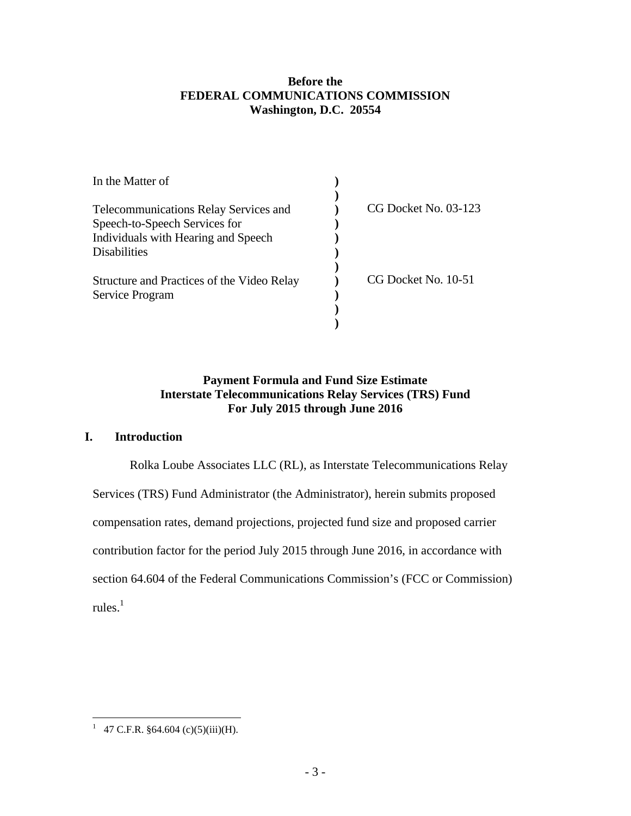## **Before the FEDERAL COMMUNICATIONS COMMISSION Washington, D.C. 20554**

| In the Matter of                             |                        |  |
|----------------------------------------------|------------------------|--|
|                                              |                        |  |
| <b>Telecommunications Relay Services and</b> | $CG$ Docket No. 03-123 |  |
| Speech-to-Speech Services for                |                        |  |
| Individuals with Hearing and Speech          |                        |  |
| Disabilities                                 |                        |  |
| Structure and Practices of the Video Relay   | CG Docket No. 10-51    |  |
| Service Program                              |                        |  |
|                                              |                        |  |
|                                              |                        |  |

## **Payment Formula and Fund Size Estimate Interstate Telecommunications Relay Services (TRS) Fund For July 2015 through June 2016**

## **I. Introduction**

Rolka Loube Associates LLC (RL), as Interstate Telecommunications Relay Services (TRS) Fund Administrator (the Administrator), herein submits proposed compensation rates, demand projections, projected fund size and proposed carrier contribution factor for the period July 2015 through June 2016, in accordance with section 64.604 of the Federal Communications Commission's (FCC or Commission) rules. $^1$ 

<sup>&</sup>lt;sup>1</sup> 47 C.F.R. §64.604 (c)(5)(iii)(H).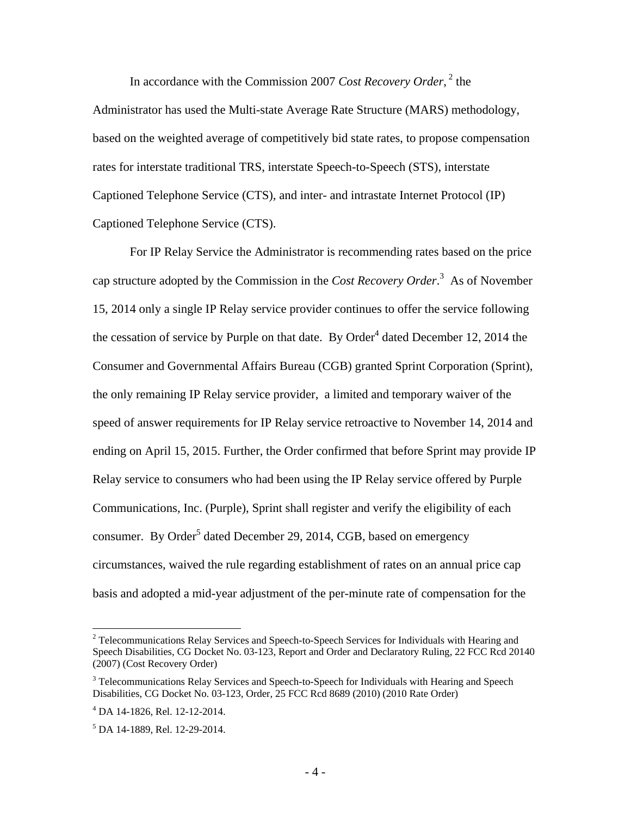In accordance with the Commission 2007 *Cost Recovery Order*,<sup>2</sup> the

Administrator has used the Multi-state Average Rate Structure (MARS) methodology, based on the weighted average of competitively bid state rates, to propose compensation rates for interstate traditional TRS, interstate Speech-to-Speech (STS), interstate Captioned Telephone Service (CTS), and inter- and intrastate Internet Protocol (IP) Captioned Telephone Service (CTS).

For IP Relay Service the Administrator is recommending rates based on the price cap structure adopted by the Commission in the *Cost Recovery Order*. 3 As of November 15, 2014 only a single IP Relay service provider continues to offer the service following the cessation of service by Purple on that date. By Order<sup>4</sup> dated December 12, 2014 the Consumer and Governmental Affairs Bureau (CGB) granted Sprint Corporation (Sprint), the only remaining IP Relay service provider, a limited and temporary waiver of the speed of answer requirements for IP Relay service retroactive to November 14, 2014 and ending on April 15, 2015. Further, the Order confirmed that before Sprint may provide IP Relay service to consumers who had been using the IP Relay service offered by Purple Communications, Inc. (Purple), Sprint shall register and verify the eligibility of each consumer. By Order<sup>5</sup> dated December 29, 2014, CGB, based on emergency circumstances, waived the rule regarding establishment of rates on an annual price cap basis and adopted a mid-year adjustment of the per-minute rate of compensation for the

<u>.</u>

 $2$  Telecommunications Relay Services and Speech-to-Speech Services for Individuals with Hearing and Speech Disabilities, CG Docket No. 03-123, Report and Order and Declaratory Ruling, 22 FCC Rcd 20140 (2007) (Cost Recovery Order)

<sup>&</sup>lt;sup>3</sup> Telecommunications Relay Services and Speech-to-Speech for Individuals with Hearing and Speech Disabilities, CG Docket No. 03-123, Order, 25 FCC Rcd 8689 (2010) (2010 Rate Order)

<sup>4</sup> DA 14-1826, Rel. 12-12-2014.

<sup>5</sup> DA 14-1889, Rel. 12-29-2014.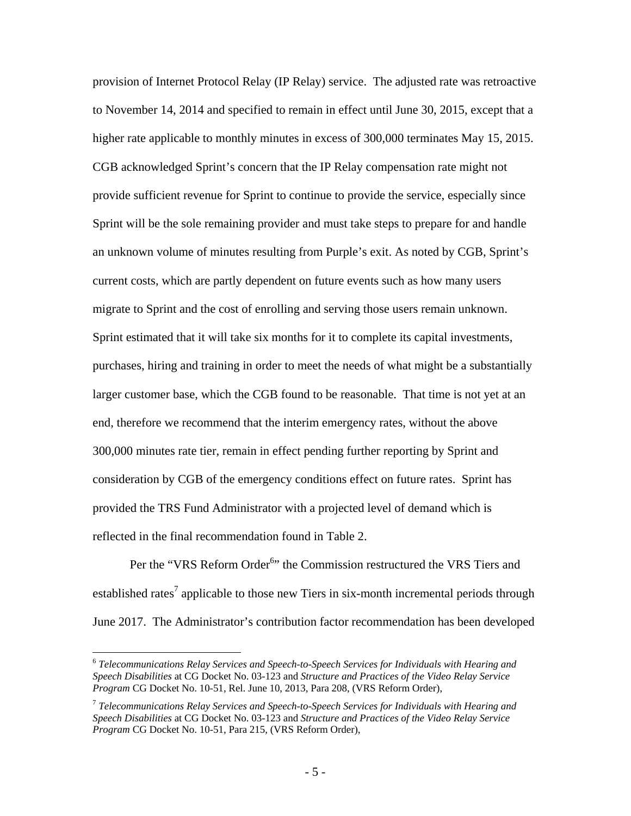provision of Internet Protocol Relay (IP Relay) service. The adjusted rate was retroactive to November 14, 2014 and specified to remain in effect until June 30, 2015, except that a higher rate applicable to monthly minutes in excess of 300,000 terminates May 15, 2015. CGB acknowledged Sprint's concern that the IP Relay compensation rate might not provide sufficient revenue for Sprint to continue to provide the service, especially since Sprint will be the sole remaining provider and must take steps to prepare for and handle an unknown volume of minutes resulting from Purple's exit. As noted by CGB, Sprint's current costs, which are partly dependent on future events such as how many users migrate to Sprint and the cost of enrolling and serving those users remain unknown. Sprint estimated that it will take six months for it to complete its capital investments, purchases, hiring and training in order to meet the needs of what might be a substantially larger customer base, which the CGB found to be reasonable. That time is not yet at an end, therefore we recommend that the interim emergency rates, without the above 300,000 minutes rate tier, remain in effect pending further reporting by Sprint and consideration by CGB of the emergency conditions effect on future rates. Sprint has provided the TRS Fund Administrator with a projected level of demand which is reflected in the final recommendation found in Table 2.

Per the "VRS Reform Order<sup>6</sup>" the Commission restructured the VRS Tiers and established rates<sup>7</sup> applicable to those new Tiers in six-month incremental periods through June 2017. The Administrator's contribution factor recommendation has been developed

<sup>6</sup> *Telecommunications Relay Services and Speech-to-Speech Services for Individuals with Hearing and Speech Disabilities* at CG Docket No. 03-123 and *Structure and Practices of the Video Relay Service Program* CG Docket No. 10-51, Rel. June 10, 2013, Para 208, (VRS Reform Order),

<sup>7</sup> *Telecommunications Relay Services and Speech-to-Speech Services for Individuals with Hearing and Speech Disabilities* at CG Docket No. 03-123 and *Structure and Practices of the Video Relay Service Program* CG Docket No. 10-51, Para 215, (VRS Reform Order),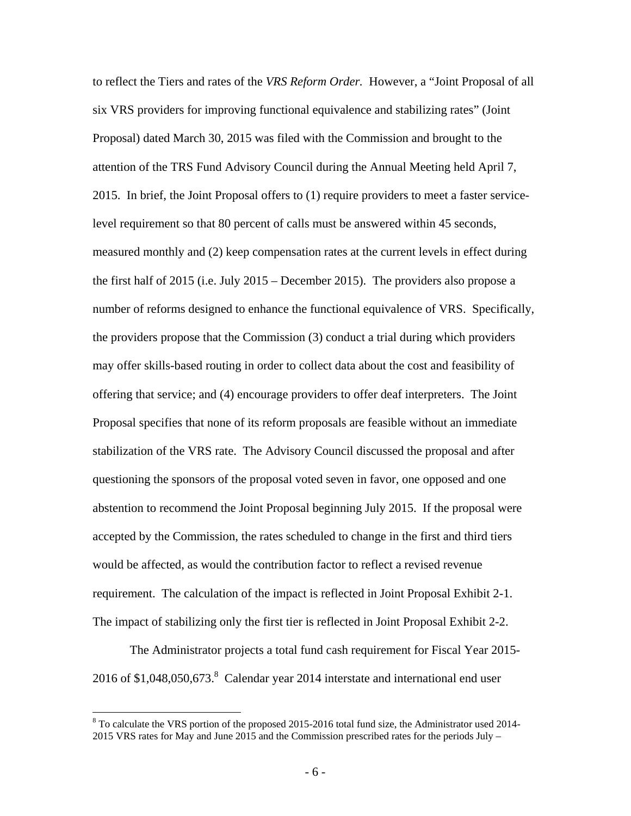to reflect the Tiers and rates of the *VRS Reform Order.* However, a "Joint Proposal of all six VRS providers for improving functional equivalence and stabilizing rates" (Joint Proposal) dated March 30, 2015 was filed with the Commission and brought to the attention of the TRS Fund Advisory Council during the Annual Meeting held April 7, 2015. In brief, the Joint Proposal offers to (1) require providers to meet a faster servicelevel requirement so that 80 percent of calls must be answered within 45 seconds, measured monthly and (2) keep compensation rates at the current levels in effect during the first half of 2015 (i.e. July 2015 – December 2015). The providers also propose a number of reforms designed to enhance the functional equivalence of VRS. Specifically, the providers propose that the Commission (3) conduct a trial during which providers may offer skills-based routing in order to collect data about the cost and feasibility of offering that service; and (4) encourage providers to offer deaf interpreters. The Joint Proposal specifies that none of its reform proposals are feasible without an immediate stabilization of the VRS rate. The Advisory Council discussed the proposal and after questioning the sponsors of the proposal voted seven in favor, one opposed and one abstention to recommend the Joint Proposal beginning July 2015. If the proposal were accepted by the Commission, the rates scheduled to change in the first and third tiers would be affected, as would the contribution factor to reflect a revised revenue requirement. The calculation of the impact is reflected in Joint Proposal Exhibit 2-1. The impact of stabilizing only the first tier is reflected in Joint Proposal Exhibit 2-2.

The Administrator projects a total fund cash requirement for Fiscal Year 2015- 2016 of \$1,048,050,673.<sup>8</sup> Calendar year 2014 interstate and international end user

1

<sup>&</sup>lt;sup>8</sup> To calculate the VRS portion of the proposed 2015-2016 total fund size, the Administrator used 2014-2015 VRS rates for May and June 2015 and the Commission prescribed rates for the periods July –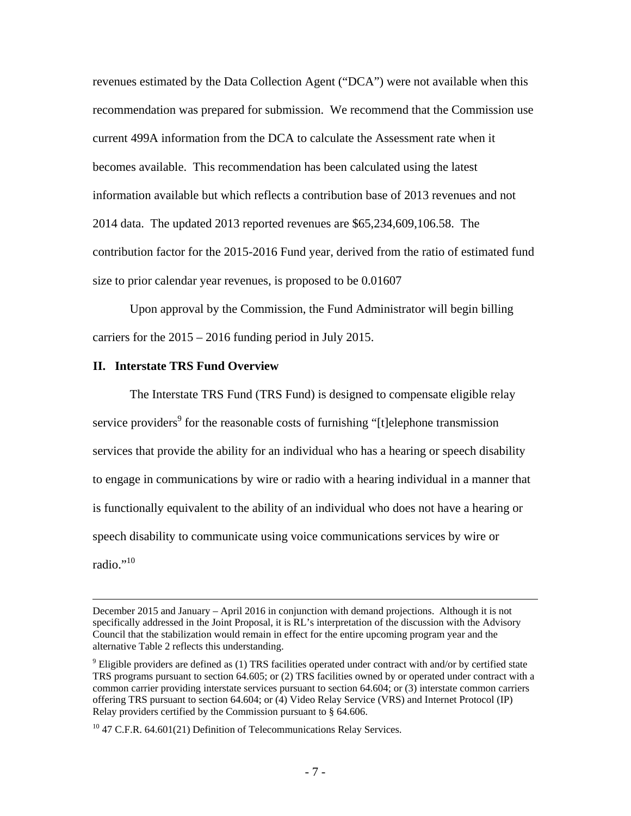revenues estimated by the Data Collection Agent ("DCA") were not available when this recommendation was prepared for submission. We recommend that the Commission use current 499A information from the DCA to calculate the Assessment rate when it becomes available. This recommendation has been calculated using the latest information available but which reflects a contribution base of 2013 revenues and not 2014 data. The updated 2013 reported revenues are \$65,234,609,106.58. The contribution factor for the 2015-2016 Fund year, derived from the ratio of estimated fund size to prior calendar year revenues, is proposed to be 0.01607

Upon approval by the Commission, the Fund Administrator will begin billing carriers for the 2015 – 2016 funding period in July 2015.

### **II. Interstate TRS Fund Overview**

The Interstate TRS Fund (TRS Fund) is designed to compensate eligible relay service providers<sup>9</sup> for the reasonable costs of furnishing "[t]elephone transmission services that provide the ability for an individual who has a hearing or speech disability to engage in communications by wire or radio with a hearing individual in a manner that is functionally equivalent to the ability of an individual who does not have a hearing or speech disability to communicate using voice communications services by wire or radio."<sup>10</sup>

December 2015 and January – April 2016 in conjunction with demand projections. Although it is not specifically addressed in the Joint Proposal, it is RL's interpretation of the discussion with the Advisory Council that the stabilization would remain in effect for the entire upcoming program year and the alternative Table 2 reflects this understanding.

 $9$  Eligible providers are defined as (1) TRS facilities operated under contract with and/or by certified state TRS programs pursuant to section 64.605; or (2) TRS facilities owned by or operated under contract with a common carrier providing interstate services pursuant to section 64.604; or (3) interstate common carriers offering TRS pursuant to section 64.604; or (4) Video Relay Service (VRS) and Internet Protocol (IP) Relay providers certified by the Commission pursuant to § 64.606.

<sup>&</sup>lt;sup>10</sup> 47 C.F.R. 64.601(21) Definition of Telecommunications Relay Services.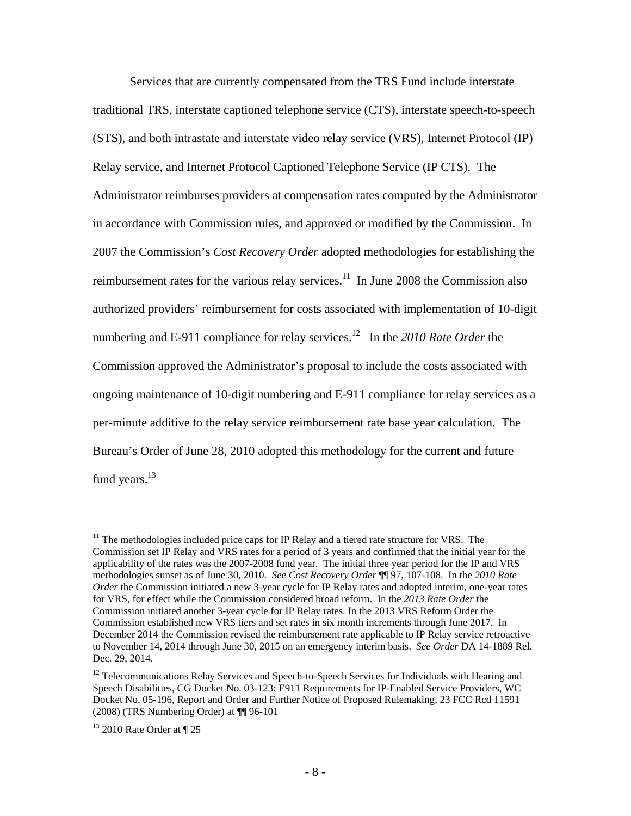Services that are currently compensated from the TRS Fund include interstate traditional TRS, interstate captioned telephone service (CTS), interstate speech-to-speech (STS), and both intrastate and interstate video relay service (VRS), Internet Protocol (IP) Relay service, and Internet Protocol Captioned Telephone Service (IP CTS). The Administrator reimburses providers at compensation rates computed by the Administrator in accordance with Commission rules, and approved or modified by the Commission. In 2007 the Commission's *Cost Recovery Order* adopted methodologies for establishing the reimbursement rates for the various relay services.<sup>11</sup> In June 2008 the Commission also authorized providers' reimbursement for costs associated with implementation of 10-digit numbering and E-911 compliance for relay services.<sup>12</sup> In the 2010 Rate Order the Commission approved the Administrator's proposal to include the costs associated with ongoing maintenance of 10-digit numbering and E-911 compliance for relay services as a per-minute additive to the relay service reimbursement rate base year calculation. The Bureau's Order of June 28, 2010 adopted this methodology for the current and future fund years.<sup>13</sup>

 $11$  The methodologies included price caps for IP Relay and a tiered rate structure for VRS. The Commission set IP Relay and VRS rates for a period of 3 years and confirmed that the initial year for the applicability of the rates was the 2007-2008 fund year. The initial three year period for the IP and VRS methodologies sunset as of June 30, 2010. *See Cost Recovery Order* ¶¶ 97, 107-108. In the *2010 Rate Order* the Commission initiated a new 3-year cycle for IP Relay rates and adopted interim, one-year rates for VRS, for effect while the Commission considered broad reform. In the *2013 Rate Order* the Commission initiated another 3-year cycle for IP Relay rates. In the 2013 VRS Reform Order the Commission established new VRS tiers and set rates in six month increments through June 2017. In December 2014 the Commission revised the reimbursement rate applicable to IP Relay service retroactive to November 14, 2014 through June 30, 2015 on an emergency interim basis. *See Order* DA 14-1889 Rel. Dec. 29, 2014.

<sup>&</sup>lt;sup>12</sup> Telecommunications Relay Services and Speech-to-Speech Services for Individuals with Hearing and Speech Disabilities, CG Docket No. 03-123; E911 Requirements for IP-Enabled Service Providers, WC Docket No. 05-196, Report and Order and Further Notice of Proposed Rulemaking, 23 FCC Rcd 11591 (2008) (TRS Numbering Order) at ¶¶ 96-101

 $13$  2010 Rate Order at  $\P$  25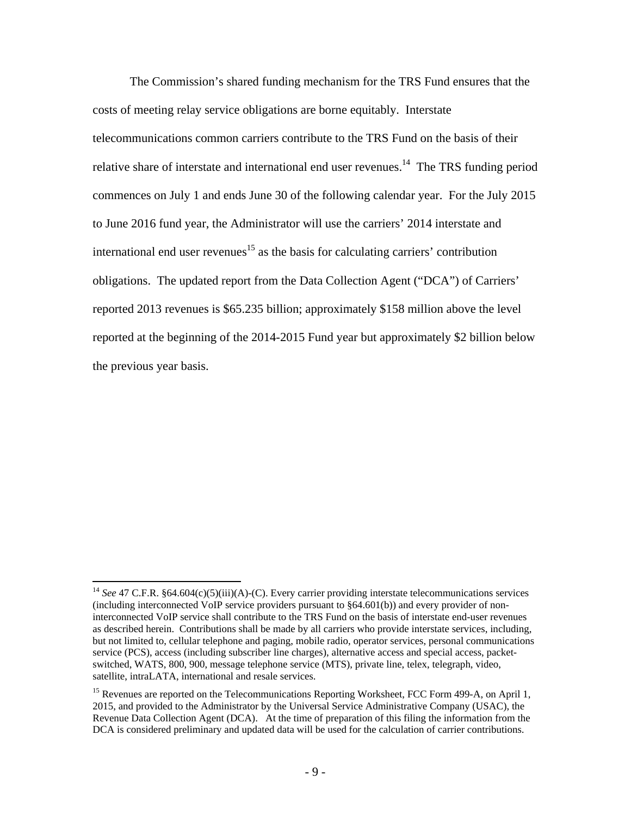The Commission's shared funding mechanism for the TRS Fund ensures that the costs of meeting relay service obligations are borne equitably. Interstate telecommunications common carriers contribute to the TRS Fund on the basis of their relative share of interstate and international end user revenues.<sup>14</sup> The TRS funding period commences on July 1 and ends June 30 of the following calendar year. For the July 2015 to June 2016 fund year, the Administrator will use the carriers' 2014 interstate and international end user revenues<sup>15</sup> as the basis for calculating carriers' contribution obligations. The updated report from the Data Collection Agent ("DCA") of Carriers' reported 2013 revenues is \$65.235 billion; approximately \$158 million above the level reported at the beginning of the 2014-2015 Fund year but approximately \$2 billion below the previous year basis.

<sup>&</sup>lt;sup>14</sup> *See* 47 C.F.R. §64.604(c)(5)(iii)(A)-(C). Every carrier providing interstate telecommunications services (including interconnected VoIP service providers pursuant to §64.601(b)) and every provider of noninterconnected VoIP service shall contribute to the TRS Fund on the basis of interstate end-user revenues as described herein. Contributions shall be made by all carriers who provide interstate services, including, but not limited to, cellular telephone and paging, mobile radio, operator services, personal communications service (PCS), access (including subscriber line charges), alternative access and special access, packetswitched, WATS, 800, 900, message telephone service (MTS), private line, telex, telegraph, video, satellite, intraLATA, international and resale services.

<sup>&</sup>lt;sup>15</sup> Revenues are reported on the Telecommunications Reporting Worksheet, FCC Form 499-A, on April 1, 2015, and provided to the Administrator by the Universal Service Administrative Company (USAC), the Revenue Data Collection Agent (DCA). At the time of preparation of this filing the information from the DCA is considered preliminary and updated data will be used for the calculation of carrier contributions.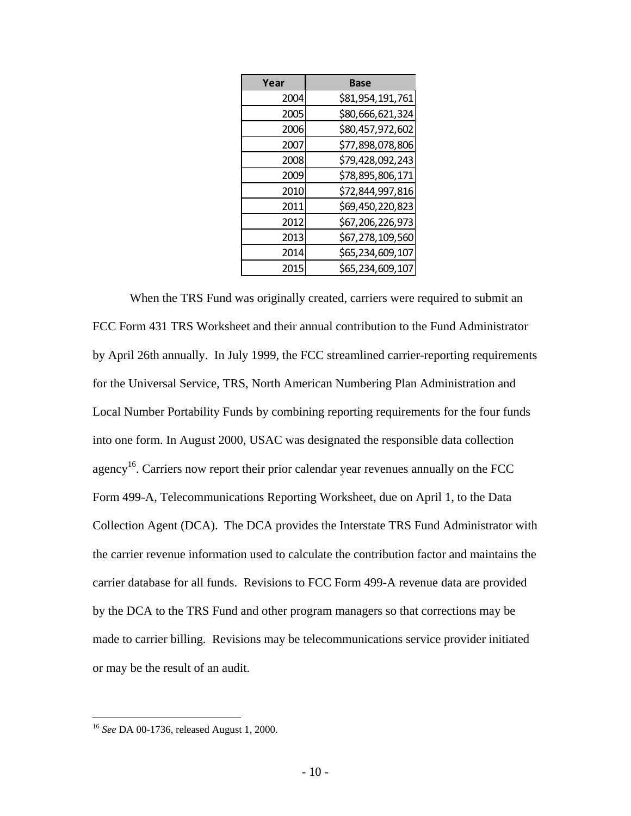| Year | <b>Base</b>      |
|------|------------------|
| 2004 | \$81,954,191,761 |
| 2005 | \$80,666,621,324 |
| 2006 | \$80,457,972,602 |
| 2007 | \$77,898,078,806 |
| 2008 | \$79,428,092,243 |
| 2009 | \$78,895,806,171 |
| 2010 | \$72,844,997,816 |
| 2011 | \$69,450,220,823 |
| 2012 | \$67,206,226,973 |
| 2013 | \$67,278,109,560 |
| 2014 | \$65,234,609,107 |
| 2015 | \$65,234,609,107 |

When the TRS Fund was originally created, carriers were required to submit an FCC Form 431 TRS Worksheet and their annual contribution to the Fund Administrator by April 26th annually. In July 1999, the FCC streamlined carrier-reporting requirements for the Universal Service, TRS, North American Numbering Plan Administration and Local Number Portability Funds by combining reporting requirements for the four funds into one form. In August 2000, USAC was designated the responsible data collection agency<sup>16</sup>. Carriers now report their prior calendar year revenues annually on the FCC Form 499-A, Telecommunications Reporting Worksheet, due on April 1, to the Data Collection Agent (DCA). The DCA provides the Interstate TRS Fund Administrator with the carrier revenue information used to calculate the contribution factor and maintains the carrier database for all funds. Revisions to FCC Form 499-A revenue data are provided by the DCA to the TRS Fund and other program managers so that corrections may be made to carrier billing. Revisions may be telecommunications service provider initiated or may be the result of an audit.

<sup>16</sup> *See* DA 00-1736, released August 1, 2000.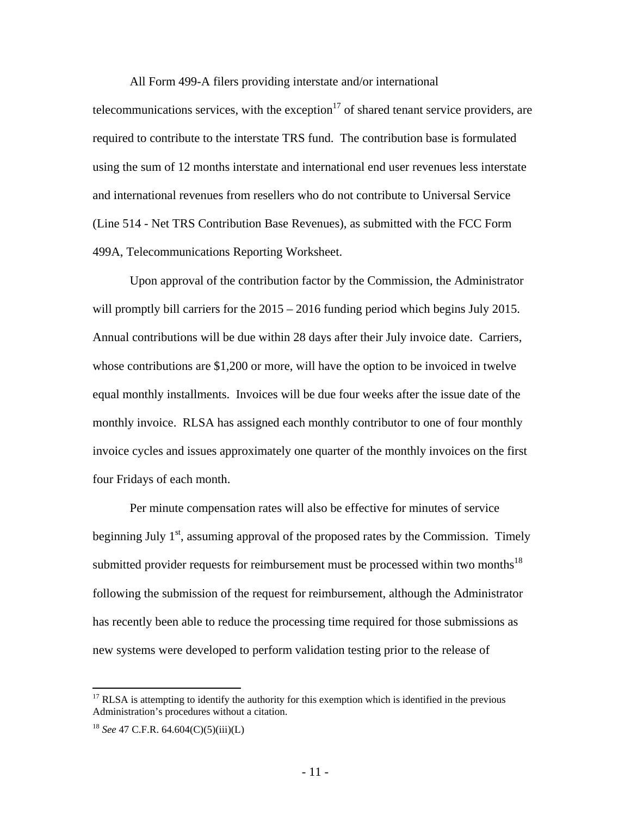All Form 499-A filers providing interstate and/or international

telecommunications services, with the exception<sup>17</sup> of shared tenant service providers, are required to contribute to the interstate TRS fund. The contribution base is formulated using the sum of 12 months interstate and international end user revenues less interstate and international revenues from resellers who do not contribute to Universal Service (Line 514 - Net TRS Contribution Base Revenues), as submitted with the FCC Form 499A, Telecommunications Reporting Worksheet.

Upon approval of the contribution factor by the Commission, the Administrator will promptly bill carriers for the  $2015 - 2016$  funding period which begins July 2015. Annual contributions will be due within 28 days after their July invoice date. Carriers, whose contributions are \$1,200 or more, will have the option to be invoiced in twelve equal monthly installments. Invoices will be due four weeks after the issue date of the monthly invoice. RLSA has assigned each monthly contributor to one of four monthly invoice cycles and issues approximately one quarter of the monthly invoices on the first four Fridays of each month.

Per minute compensation rates will also be effective for minutes of service beginning July  $1<sup>st</sup>$ , assuming approval of the proposed rates by the Commission. Timely submitted provider requests for reimbursement must be processed within two months<sup>18</sup> following the submission of the request for reimbursement, although the Administrator has recently been able to reduce the processing time required for those submissions as new systems were developed to perform validation testing prior to the release of

1

 $17$  RLSA is attempting to identify the authority for this exemption which is identified in the previous Administration's procedures without a citation.

<sup>18</sup> *See* 47 C.F.R. 64.604(C)(5)(iii)(L)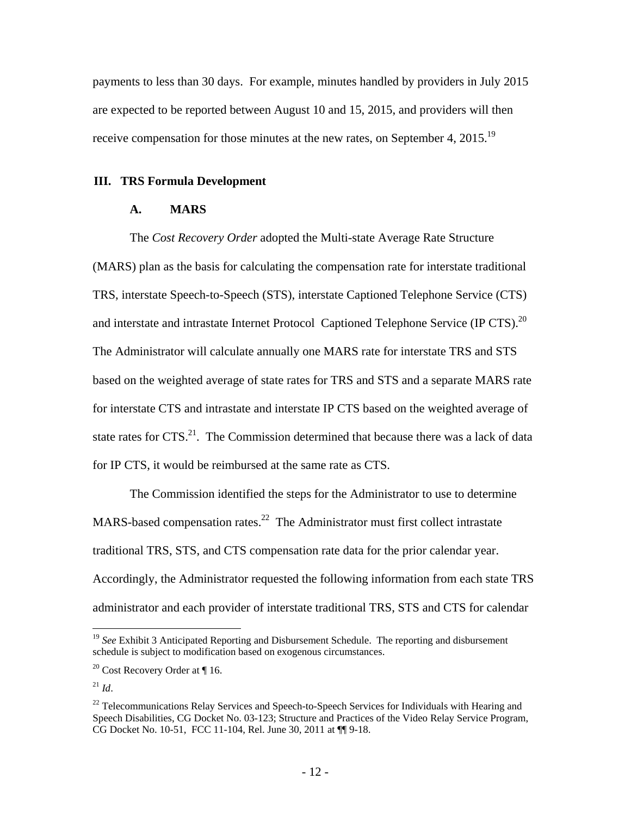payments to less than 30 days. For example, minutes handled by providers in July 2015 are expected to be reported between August 10 and 15, 2015, and providers will then receive compensation for those minutes at the new rates, on September 4, 2015.<sup>19</sup>

### **III. TRS Formula Development**

## **A. MARS**

The *Cost Recovery Order* adopted the Multi-state Average Rate Structure (MARS) plan as the basis for calculating the compensation rate for interstate traditional TRS, interstate Speech-to-Speech (STS), interstate Captioned Telephone Service (CTS) and interstate and intrastate Internet Protocol Captioned Telephone Service (IP CTS).<sup>20</sup> The Administrator will calculate annually one MARS rate for interstate TRS and STS based on the weighted average of state rates for TRS and STS and a separate MARS rate for interstate CTS and intrastate and interstate IP CTS based on the weighted average of state rates for  $CTS$ <sup>21</sup>. The Commission determined that because there was a lack of data for IP CTS, it would be reimbursed at the same rate as CTS.

The Commission identified the steps for the Administrator to use to determine MARS-based compensation rates.<sup>22</sup> The Administrator must first collect intrastate traditional TRS, STS, and CTS compensation rate data for the prior calendar year. Accordingly, the Administrator requested the following information from each state TRS administrator and each provider of interstate traditional TRS, STS and CTS for calendar

<sup>19</sup> *See* Exhibit 3 Anticipated Reporting and Disbursement Schedule. The reporting and disbursement schedule is subject to modification based on exogenous circumstances.

<sup>&</sup>lt;sup>20</sup> Cost Recovery Order at  $\P$  16.

<sup>21</sup> *Id*.

 $22$  Telecommunications Relay Services and Speech-to-Speech Services for Individuals with Hearing and Speech Disabilities, CG Docket No. 03-123; Structure and Practices of the Video Relay Service Program, CG Docket No. 10-51, FCC 11-104, Rel. June 30, 2011 at ¶¶ 9-18.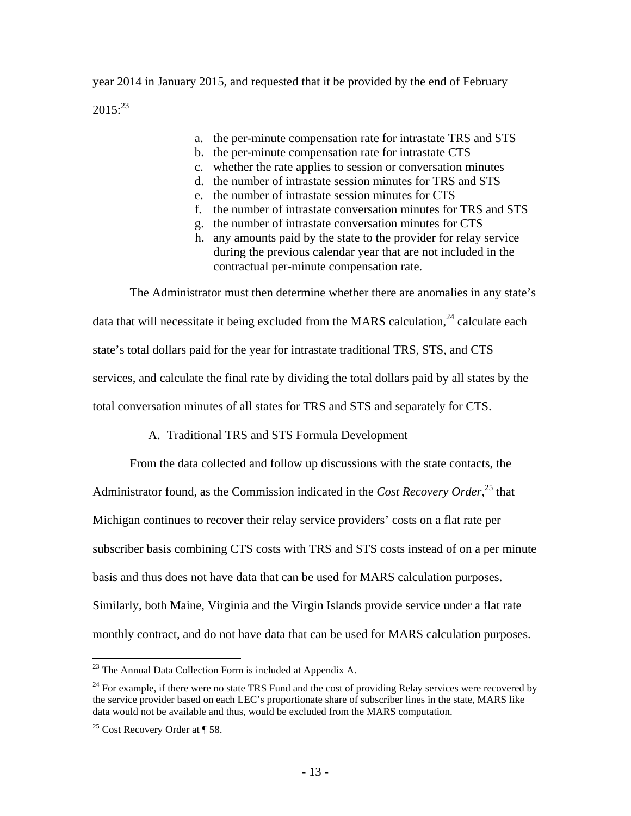year 2014 in January 2015, and requested that it be provided by the end of February  $2015$ <sup>23</sup>

- a. the per-minute compensation rate for intrastate TRS and STS
- b. the per-minute compensation rate for intrastate CTS
- c. whether the rate applies to session or conversation minutes
- d. the number of intrastate session minutes for TRS and STS
- e. the number of intrastate session minutes for CTS
- f. the number of intrastate conversation minutes for TRS and STS
- g. the number of intrastate conversation minutes for CTS
- h. any amounts paid by the state to the provider for relay service during the previous calendar year that are not included in the contractual per-minute compensation rate.

The Administrator must then determine whether there are anomalies in any state's data that will necessitate it being excluded from the MARS calculation,<sup>24</sup> calculate each state's total dollars paid for the year for intrastate traditional TRS, STS, and CTS services, and calculate the final rate by dividing the total dollars paid by all states by the total conversation minutes of all states for TRS and STS and separately for CTS.

## A. Traditional TRS and STS Formula Development

From the data collected and follow up discussions with the state contacts, the Administrator found, as the Commission indicated in the *Cost Recovery Order*, 25 that Michigan continues to recover their relay service providers' costs on a flat rate per subscriber basis combining CTS costs with TRS and STS costs instead of on a per minute basis and thus does not have data that can be used for MARS calculation purposes. Similarly, both Maine, Virginia and the Virgin Islands provide service under a flat rate monthly contract, and do not have data that can be used for MARS calculation purposes.

1

 $^{23}$  The Annual Data Collection Form is included at Appendix A.

 $24$  For example, if there were no state TRS Fund and the cost of providing Relay services were recovered by the service provider based on each LEC's proportionate share of subscriber lines in the state, MARS like data would not be available and thus, would be excluded from the MARS computation.

<sup>&</sup>lt;sup>25</sup> Cost Recovery Order at  $\P$  58.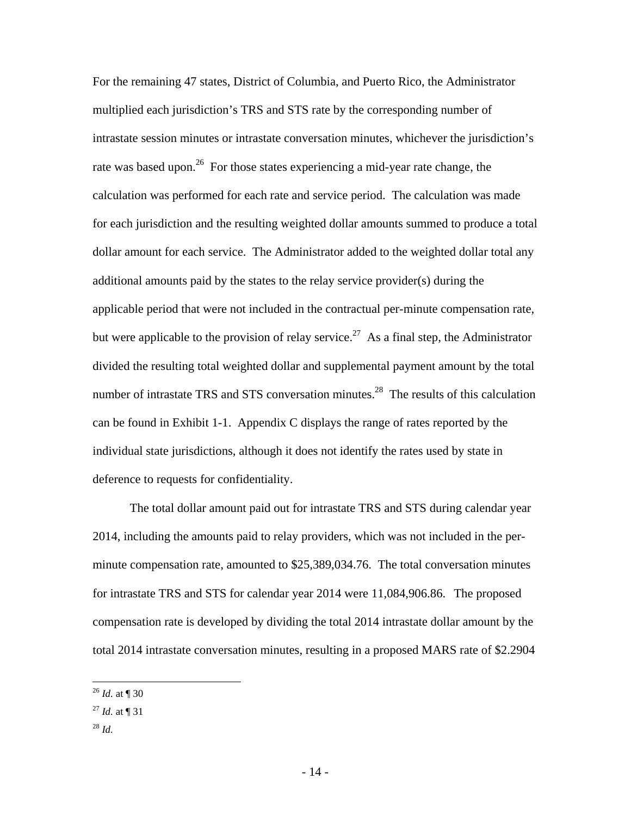For the remaining 47 states, District of Columbia, and Puerto Rico, the Administrator multiplied each jurisdiction's TRS and STS rate by the corresponding number of intrastate session minutes or intrastate conversation minutes, whichever the jurisdiction's rate was based upon.<sup>26</sup> For those states experiencing a mid-year rate change, the calculation was performed for each rate and service period. The calculation was made for each jurisdiction and the resulting weighted dollar amounts summed to produce a total dollar amount for each service. The Administrator added to the weighted dollar total any additional amounts paid by the states to the relay service provider(s) during the applicable period that were not included in the contractual per-minute compensation rate, but were applicable to the provision of relay service.<sup>27</sup> As a final step, the Administrator divided the resulting total weighted dollar and supplemental payment amount by the total number of intrastate TRS and STS conversation minutes.<sup>28</sup> The results of this calculation can be found in Exhibit 1-1. Appendix C displays the range of rates reported by the individual state jurisdictions, although it does not identify the rates used by state in deference to requests for confidentiality.

The total dollar amount paid out for intrastate TRS and STS during calendar year 2014, including the amounts paid to relay providers, which was not included in the perminute compensation rate, amounted to \$25,389,034.76. The total conversation minutes for intrastate TRS and STS for calendar year 2014 were 11,084,906.86. The proposed compensation rate is developed by dividing the total 2014 intrastate dollar amount by the total 2014 intrastate conversation minutes, resulting in a proposed MARS rate of \$2.2904

<sup>28</sup> *Id.*

 $\overline{a}$ <sup>26</sup> *Id.* at ¶ 30

 $^{27}$  *Id.* at ¶ 31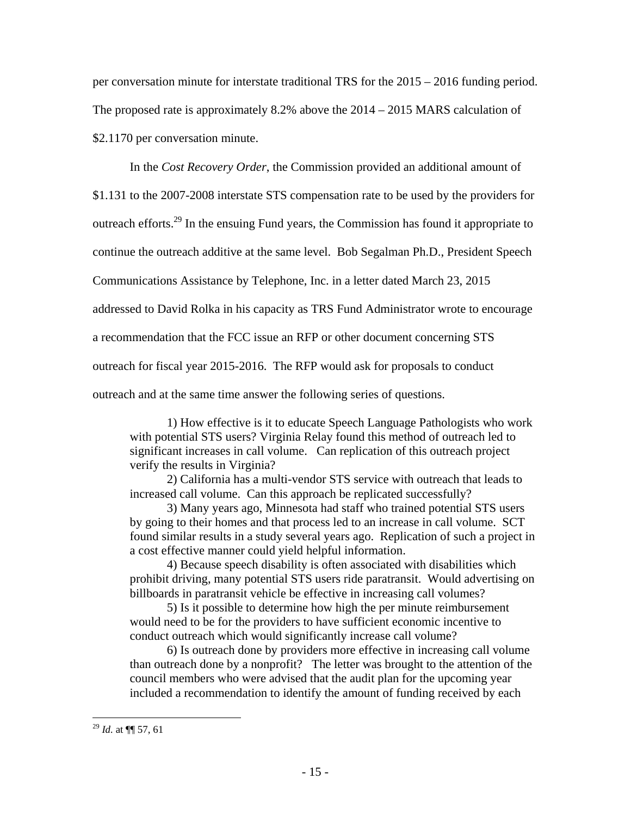per conversation minute for interstate traditional TRS for the 2015 – 2016 funding period. The proposed rate is approximately 8.2% above the 2014 – 2015 MARS calculation of \$2.1170 per conversation minute.

In the *Cost Recovery Order*, the Commission provided an additional amount of \$1.131 to the 2007-2008 interstate STS compensation rate to be used by the providers for outreach efforts.29 In the ensuing Fund years, the Commission has found it appropriate to continue the outreach additive at the same level. Bob Segalman Ph.D., President Speech Communications Assistance by Telephone, Inc. in a letter dated March 23, 2015 addressed to David Rolka in his capacity as TRS Fund Administrator wrote to encourage a recommendation that the FCC issue an RFP or other document concerning STS outreach for fiscal year 2015-2016. The RFP would ask for proposals to conduct outreach and at the same time answer the following series of questions.

1) How effective is it to educate Speech Language Pathologists who work with potential STS users? Virginia Relay found this method of outreach led to significant increases in call volume. Can replication of this outreach project verify the results in Virginia?

2) California has a multi-vendor STS service with outreach that leads to increased call volume. Can this approach be replicated successfully?

3) Many years ago, Minnesota had staff who trained potential STS users by going to their homes and that process led to an increase in call volume. SCT found similar results in a study several years ago. Replication of such a project in a cost effective manner could yield helpful information.

4) Because speech disability is often associated with disabilities which prohibit driving, many potential STS users ride paratransit. Would advertising on billboards in paratransit vehicle be effective in increasing call volumes?

5) Is it possible to determine how high the per minute reimbursement would need to be for the providers to have sufficient economic incentive to conduct outreach which would significantly increase call volume?

6) Is outreach done by providers more effective in increasing call volume than outreach done by a nonprofit? The letter was brought to the attention of the council members who were advised that the audit plan for the upcoming year included a recommendation to identify the amount of funding received by each

<sup>29</sup> *Id.* at ¶¶ 57, 61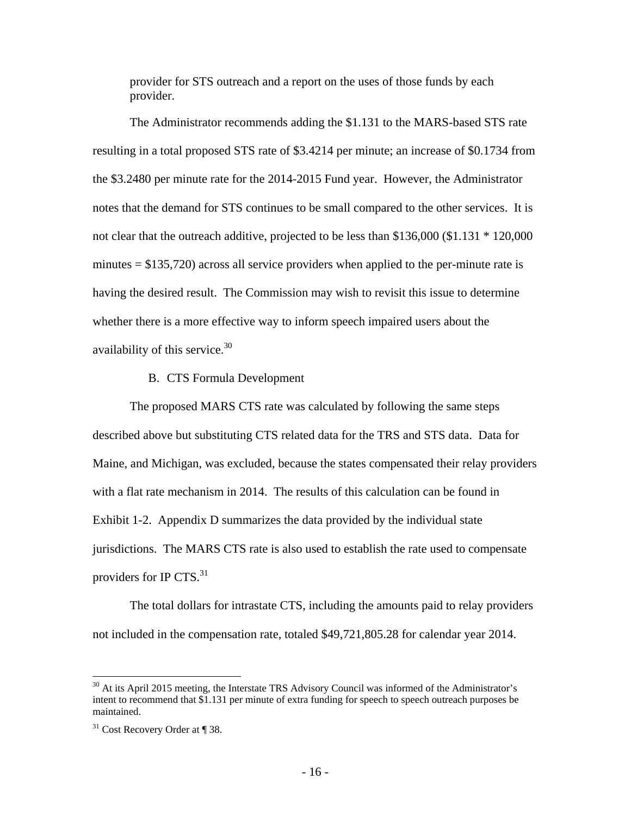provider for STS outreach and a report on the uses of those funds by each provider.

The Administrator recommends adding the \$1.131 to the MARS-based STS rate resulting in a total proposed STS rate of \$3.4214 per minute; an increase of \$0.1734 from the \$3.2480 per minute rate for the 2014-2015 Fund year. However, the Administrator notes that the demand for STS continues to be small compared to the other services. It is not clear that the outreach additive, projected to be less than \$136,000 (\$1.131 \* 120,000 minutes  $= $135,720$ ) across all service providers when applied to the per-minute rate is having the desired result. The Commission may wish to revisit this issue to determine whether there is a more effective way to inform speech impaired users about the availability of this service. $30<sup>30</sup>$ 

### B. CTS Formula Development

The proposed MARS CTS rate was calculated by following the same steps described above but substituting CTS related data for the TRS and STS data. Data for Maine, and Michigan, was excluded, because the states compensated their relay providers with a flat rate mechanism in 2014. The results of this calculation can be found in Exhibit 1-2. Appendix D summarizes the data provided by the individual state jurisdictions. The MARS CTS rate is also used to establish the rate used to compensate providers for IP CTS. $31$ 

The total dollars for intrastate CTS, including the amounts paid to relay providers not included in the compensation rate, totaled \$49,721,805.28 for calendar year 2014.

<u>.</u>

<sup>&</sup>lt;sup>30</sup> At its April 2015 meeting, the Interstate TRS Advisory Council was informed of the Administrator's intent to recommend that \$1.131 per minute of extra funding for speech to speech outreach purposes be maintained.

 $31$  Cost Recovery Order at ¶ 38.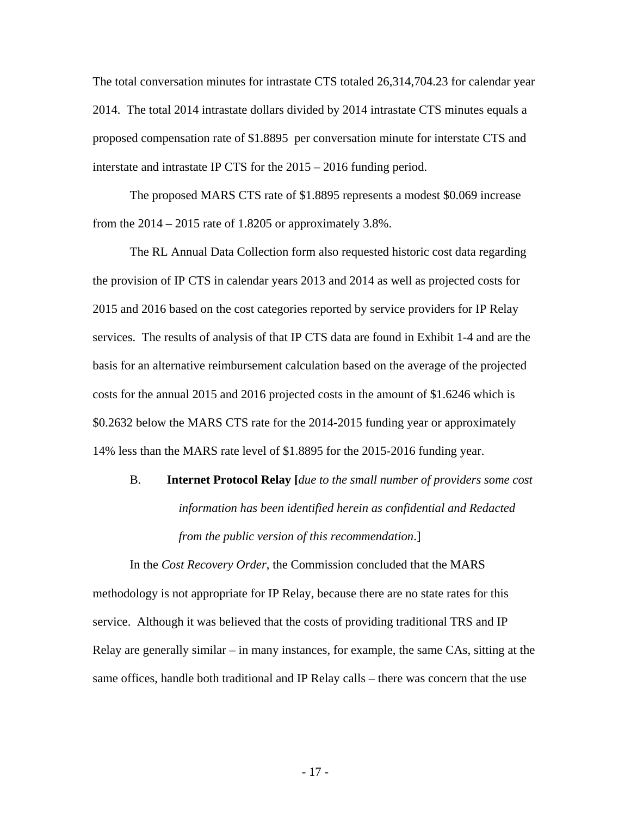The total conversation minutes for intrastate CTS totaled 26,314,704.23 for calendar year 2014. The total 2014 intrastate dollars divided by 2014 intrastate CTS minutes equals a proposed compensation rate of \$1.8895 per conversation minute for interstate CTS and interstate and intrastate IP CTS for the 2015 – 2016 funding period.

The proposed MARS CTS rate of \$1.8895 represents a modest \$0.069 increase from the  $2014 - 2015$  rate of 1.8205 or approximately 3.8%.

The RL Annual Data Collection form also requested historic cost data regarding the provision of IP CTS in calendar years 2013 and 2014 as well as projected costs for 2015 and 2016 based on the cost categories reported by service providers for IP Relay services. The results of analysis of that IP CTS data are found in Exhibit 1-4 and are the basis for an alternative reimbursement calculation based on the average of the projected costs for the annual 2015 and 2016 projected costs in the amount of \$1.6246 which is \$0.2632 below the MARS CTS rate for the 2014-2015 funding year or approximately 14% less than the MARS rate level of \$1.8895 for the 2015-2016 funding year.

# B. **Internet Protocol Relay [***due to the small number of providers some cost information has been identified herein as confidential and Redacted from the public version of this recommendation*.]

In the *Cost Recovery Order*, the Commission concluded that the MARS methodology is not appropriate for IP Relay, because there are no state rates for this service. Although it was believed that the costs of providing traditional TRS and IP Relay are generally similar – in many instances, for example, the same CAs, sitting at the same offices, handle both traditional and IP Relay calls – there was concern that the use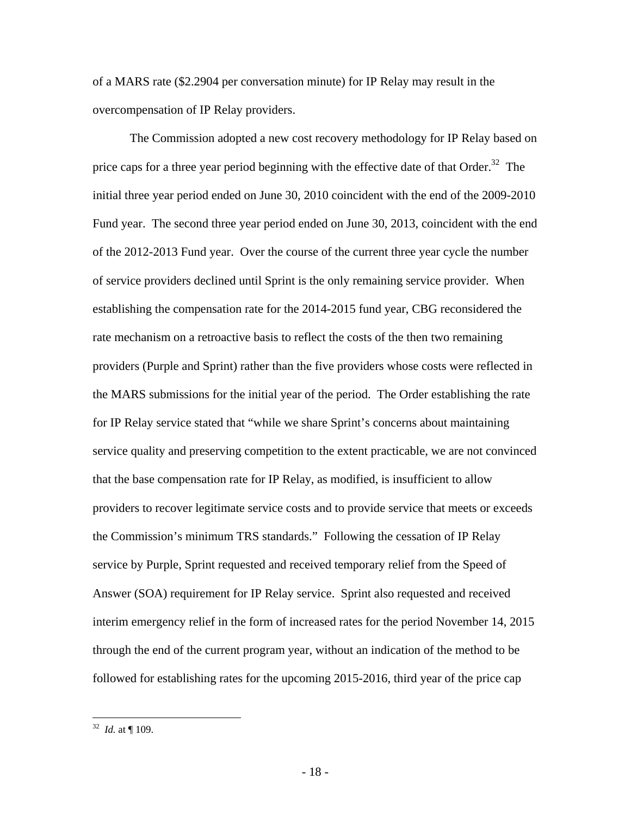of a MARS rate (\$2.2904 per conversation minute) for IP Relay may result in the overcompensation of IP Relay providers.

The Commission adopted a new cost recovery methodology for IP Relay based on price caps for a three year period beginning with the effective date of that Order.<sup>32</sup> The initial three year period ended on June 30, 2010 coincident with the end of the 2009-2010 Fund year. The second three year period ended on June 30, 2013, coincident with the end of the 2012-2013 Fund year. Over the course of the current three year cycle the number of service providers declined until Sprint is the only remaining service provider. When establishing the compensation rate for the 2014-2015 fund year, CBG reconsidered the rate mechanism on a retroactive basis to reflect the costs of the then two remaining providers (Purple and Sprint) rather than the five providers whose costs were reflected in the MARS submissions for the initial year of the period. The Order establishing the rate for IP Relay service stated that "while we share Sprint's concerns about maintaining service quality and preserving competition to the extent practicable, we are not convinced that the base compensation rate for IP Relay, as modified, is insufficient to allow providers to recover legitimate service costs and to provide service that meets or exceeds the Commission's minimum TRS standards." Following the cessation of IP Relay service by Purple, Sprint requested and received temporary relief from the Speed of Answer (SOA) requirement for IP Relay service. Sprint also requested and received interim emergency relief in the form of increased rates for the period November 14, 2015 through the end of the current program year, without an indication of the method to be followed for establishing rates for the upcoming 2015-2016, third year of the price cap

 $32$  *Id.* at  $\P$  109.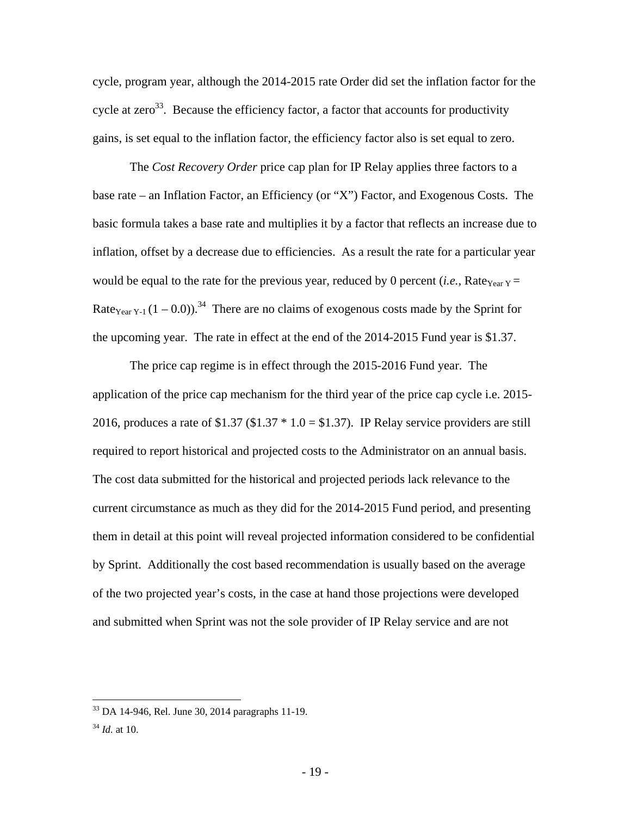cycle, program year, although the 2014-2015 rate Order did set the inflation factor for the cycle at zero<sup>33</sup>. Because the efficiency factor, a factor that accounts for productivity gains, is set equal to the inflation factor, the efficiency factor also is set equal to zero.

The *Cost Recovery Order* price cap plan for IP Relay applies three factors to a base rate – an Inflation Factor, an Efficiency (or "X") Factor, and Exogenous Costs. The basic formula takes a base rate and multiplies it by a factor that reflects an increase due to inflation, offset by a decrease due to efficiencies. As a result the rate for a particular year would be equal to the rate for the previous year, reduced by 0 percent (*i.e.*, Rate<sub>Year Y</sub> = Rate<sub>Year Y-1</sub>  $(1 - 0.0)$ .<sup>34</sup> There are no claims of exogenous costs made by the Sprint for the upcoming year. The rate in effect at the end of the 2014-2015 Fund year is \$1.37.

The price cap regime is in effect through the 2015-2016 Fund year. The application of the price cap mechanism for the third year of the price cap cycle i.e. 2015- 2016, produces a rate of  $$1.37$  ( $$1.37 * 1.0 = $1.37$ ). IP Relay service providers are still required to report historical and projected costs to the Administrator on an annual basis. The cost data submitted for the historical and projected periods lack relevance to the current circumstance as much as they did for the 2014-2015 Fund period, and presenting them in detail at this point will reveal projected information considered to be confidential by Sprint. Additionally the cost based recommendation is usually based on the average of the two projected year's costs, in the case at hand those projections were developed and submitted when Sprint was not the sole provider of IP Relay service and are not

 $33$  DA 14-946, Rel. June 30, 2014 paragraphs 11-19.

<sup>34</sup> *Id.* at 10.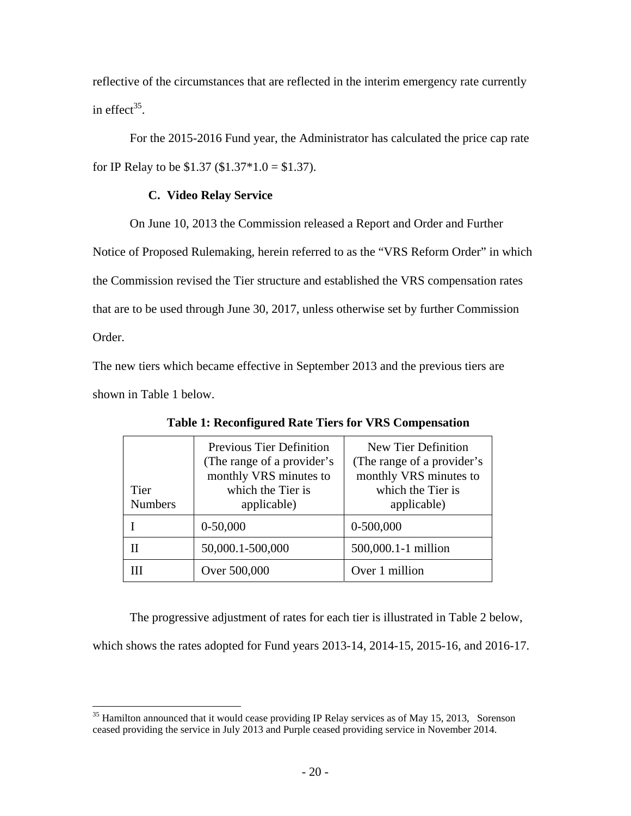reflective of the circumstances that are reflected in the interim emergency rate currently in effect $^{35}$ .

For the 2015-2016 Fund year, the Administrator has calculated the price cap rate for IP Relay to be  $$1.37$  ( $$1.37*1.0 = $1.37$ ).

## **C. Video Relay Service**

On June 10, 2013 the Commission released a Report and Order and Further

Notice of Proposed Rulemaking, herein referred to as the "VRS Reform Order" in which

the Commission revised the Tier structure and established the VRS compensation rates

that are to be used through June 30, 2017, unless otherwise set by further Commission

Order.

 $\overline{a}$ 

The new tiers which became effective in September 2013 and the previous tiers are shown in Table 1 below.

| <b>Tier</b><br><b>Numbers</b> | <b>Previous Tier Definition</b><br>(The range of a provider's<br>monthly VRS minutes to<br>which the Tier is<br>applicable) | New Tier Definition<br>(The range of a provider's<br>monthly VRS minutes to<br>which the Tier is<br>applicable) |
|-------------------------------|-----------------------------------------------------------------------------------------------------------------------------|-----------------------------------------------------------------------------------------------------------------|
|                               | $0-50,000$                                                                                                                  | $0-500,000$                                                                                                     |
|                               | 50,000.1-500,000                                                                                                            | 500,000.1-1 million                                                                                             |
|                               | Over 500,000                                                                                                                | Over 1 million                                                                                                  |

**Table 1: Reconfigured Rate Tiers for VRS Compensation** 

The progressive adjustment of rates for each tier is illustrated in Table 2 below,

which shows the rates adopted for Fund years 2013-14, 2014-15, 2015-16, and 2016-17.

 $35$  Hamilton announced that it would cease providing IP Relay services as of May 15, 2013, Sorenson ceased providing the service in July 2013 and Purple ceased providing service in November 2014.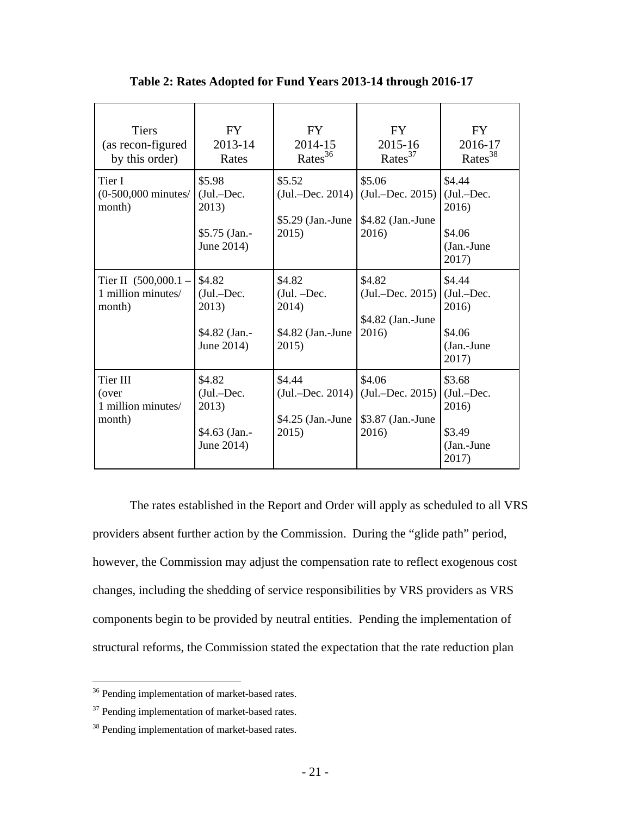| <b>Tiers</b><br>(as recon-figured<br>by this order)    | FY<br>2013-14<br>Rates                                         | FY<br>2014-15<br>Rates $36$                                     | FY.<br>2015-16<br>$\text{ Rates}^{37}$                     | FY<br>2016-17<br>Rates <sup>38</sup>                             |
|--------------------------------------------------------|----------------------------------------------------------------|-----------------------------------------------------------------|------------------------------------------------------------|------------------------------------------------------------------|
| Tier I<br>$(0-500,000$ minutes/<br>month)              | \$5.98<br>$(Jul.-Dec.$<br>2013)<br>\$5.75 (Jan.-<br>June 2014) | \$5.52<br>$(Jul.-Dec. 2014)$<br>\$5.29 (Jan.-June<br>2015)      | \$5.06<br>$(Jul.-Dec. 2015)$<br>\$4.82 (Jan.-June<br>2016) | \$4.44<br>$(Jul.-Dec.$<br>2016)<br>\$4.06<br>(Jan.-June<br>2017) |
| Tier II $(500,000.1 -$<br>1 million minutes/<br>month) | \$4.82<br>(Jul.-Dec.<br>2013)<br>\$4.82 (Jan.-<br>June 2014)   | \$4.82<br>$(Jul. - Dec.$<br>2014)<br>\$4.82 (Jan.-June<br>2015) | \$4.82<br>$(Jul.-Dec. 2015)$<br>\$4.82 (Jan.-June<br>2016) | \$4.44<br>$(Jul.-Dec.$<br>2016)<br>\$4.06<br>(Jan.-June<br>2017) |
| Tier III<br>(over<br>1 million minutes/<br>month)      | \$4.82<br>$(Jul.-Dec.$<br>2013)<br>\$4.63 (Jan.-<br>June 2014) | \$4.44<br>$(Jul.-Dec. 2014)$<br>$$4.25$ (Jan.-June<br>2015)     | \$4.06<br>$(Jul.-Dec. 2015)$<br>\$3.87 (Jan.-June<br>2016) | \$3.68<br>$(Jul.-Dec.$<br>2016)<br>\$3.49<br>(Jan.-June<br>2017) |

**Table 2: Rates Adopted for Fund Years 2013-14 through 2016-17** 

The rates established in the Report and Order will apply as scheduled to all VRS providers absent further action by the Commission. During the "glide path" period, however, the Commission may adjust the compensation rate to reflect exogenous cost changes, including the shedding of service responsibilities by VRS providers as VRS components begin to be provided by neutral entities. Pending the implementation of structural reforms, the Commission stated the expectation that the rate reduction plan

1

<sup>&</sup>lt;sup>36</sup> Pending implementation of market-based rates.

<sup>&</sup>lt;sup>37</sup> Pending implementation of market-based rates.

<sup>&</sup>lt;sup>38</sup> Pending implementation of market-based rates.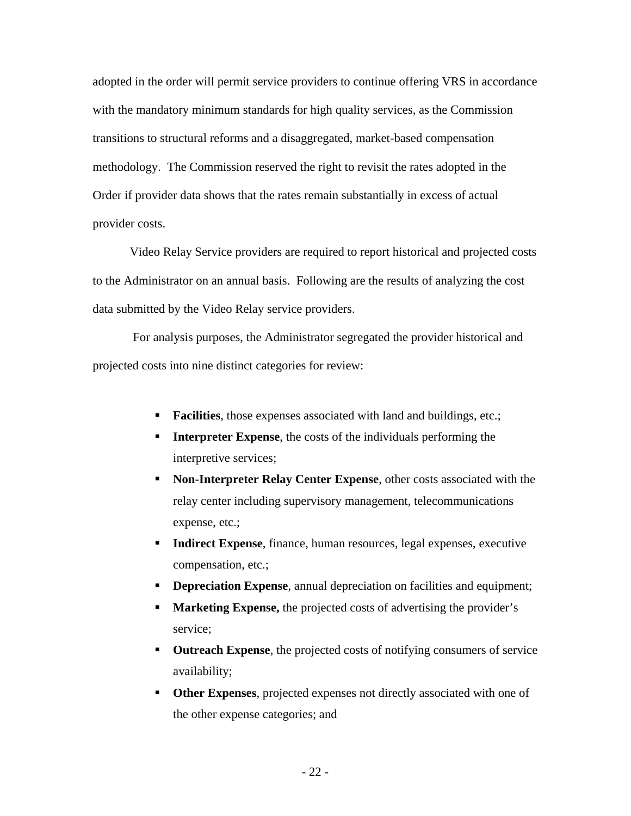adopted in the order will permit service providers to continue offering VRS in accordance with the mandatory minimum standards for high quality services, as the Commission transitions to structural reforms and a disaggregated, market-based compensation methodology. The Commission reserved the right to revisit the rates adopted in the Order if provider data shows that the rates remain substantially in excess of actual provider costs.

Video Relay Service providers are required to report historical and projected costs to the Administrator on an annual basis. Following are the results of analyzing the cost data submitted by the Video Relay service providers.

 For analysis purposes, the Administrator segregated the provider historical and projected costs into nine distinct categories for review:

- **Facilities**, those expenses associated with land and buildings, etc.;
- **Interpreter Expense**, the costs of the individuals performing the interpretive services;
- **Non-Interpreter Relay Center Expense**, other costs associated with the relay center including supervisory management, telecommunications expense, etc.;
- **Indirect Expense**, finance, human resources, legal expenses, executive compensation, etc.;
- **Depreciation Expense**, annual depreciation on facilities and equipment;
- **Marketing Expense,** the projected costs of advertising the provider's service;
- **Outreach Expense**, the projected costs of notifying consumers of service availability;
- **Other Expenses**, projected expenses not directly associated with one of the other expense categories; and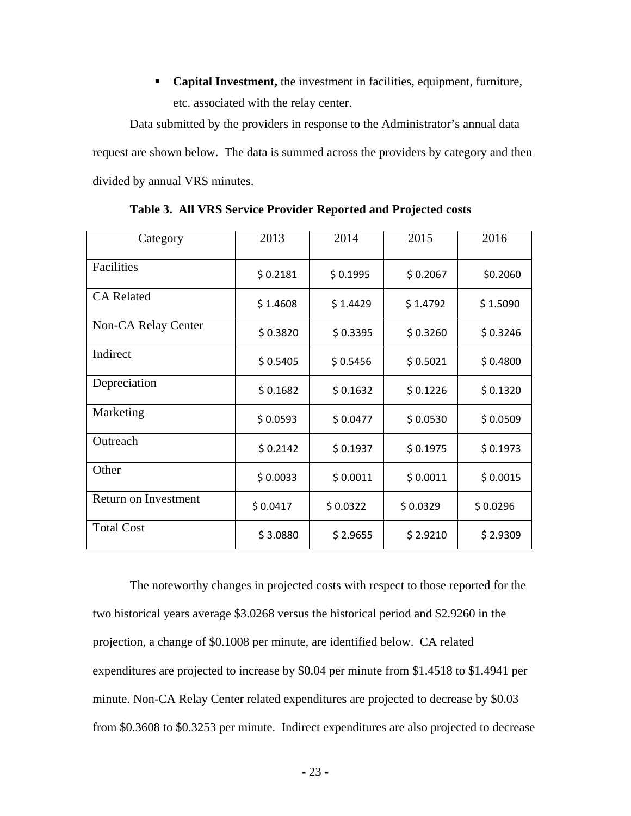**Capital Investment,** the investment in facilities, equipment, furniture, etc. associated with the relay center.

Data submitted by the providers in response to the Administrator's annual data request are shown below. The data is summed across the providers by category and then divided by annual VRS minutes.

| Category             | 2013     | 2014     | 2015     | 2016     |
|----------------------|----------|----------|----------|----------|
| Facilities           | \$0.2181 | \$0.1995 | \$0.2067 | \$0.2060 |
| <b>CA</b> Related    | \$1.4608 | \$1.4429 | \$1.4792 | \$1.5090 |
| Non-CA Relay Center  | \$0.3820 | \$0.3395 | \$0.3260 | \$0.3246 |
| Indirect             | \$0.5405 | \$0.5456 | \$0.5021 | \$0.4800 |
| Depreciation         | \$0.1682 | \$0.1632 | \$0.1226 | \$0.1320 |
| Marketing            | \$0.0593 | \$0.0477 | \$0.0530 | \$0.0509 |
| Outreach             | \$0.2142 | \$0.1937 | \$0.1975 | \$0.1973 |
| Other                | \$0.0033 | \$0.0011 | \$0.0011 | \$0.0015 |
| Return on Investment | \$0.0417 | \$0.0322 | \$0.0329 | \$0.0296 |
| <b>Total Cost</b>    | \$3.0880 | \$2.9655 | \$2.9210 | \$2.9309 |

**Table 3. All VRS Service Provider Reported and Projected costs** 

The noteworthy changes in projected costs with respect to those reported for the two historical years average \$3.0268 versus the historical period and \$2.9260 in the projection, a change of \$0.1008 per minute, are identified below. CA related expenditures are projected to increase by \$0.04 per minute from \$1.4518 to \$1.4941 per minute. Non-CA Relay Center related expenditures are projected to decrease by \$0.03 from \$0.3608 to \$0.3253 per minute. Indirect expenditures are also projected to decrease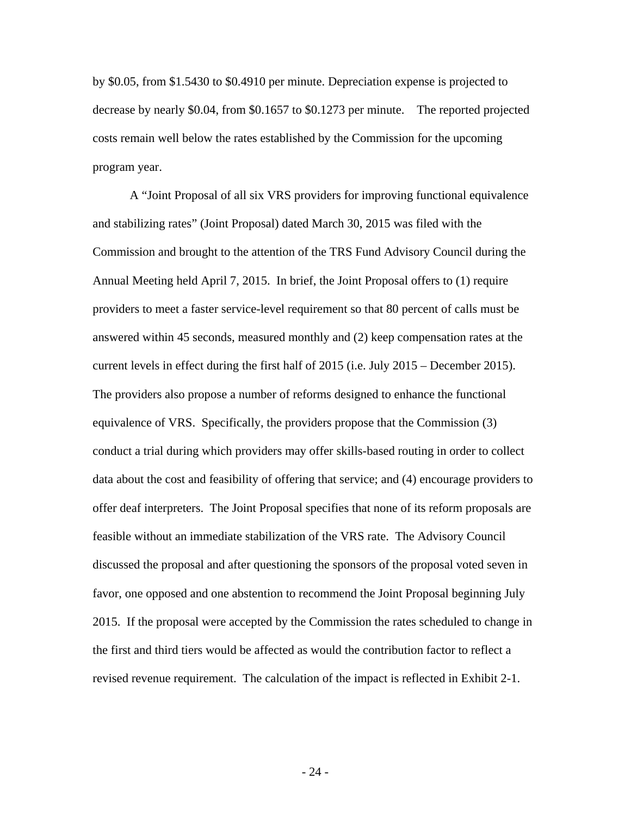by \$0.05, from \$1.5430 to \$0.4910 per minute. Depreciation expense is projected to decrease by nearly \$0.04, from \$0.1657 to \$0.1273 per minute. The reported projected costs remain well below the rates established by the Commission for the upcoming program year.

A "Joint Proposal of all six VRS providers for improving functional equivalence and stabilizing rates" (Joint Proposal) dated March 30, 2015 was filed with the Commission and brought to the attention of the TRS Fund Advisory Council during the Annual Meeting held April 7, 2015. In brief, the Joint Proposal offers to (1) require providers to meet a faster service-level requirement so that 80 percent of calls must be answered within 45 seconds, measured monthly and (2) keep compensation rates at the current levels in effect during the first half of 2015 (i.e. July 2015 – December 2015). The providers also propose a number of reforms designed to enhance the functional equivalence of VRS. Specifically, the providers propose that the Commission (3) conduct a trial during which providers may offer skills-based routing in order to collect data about the cost and feasibility of offering that service; and (4) encourage providers to offer deaf interpreters. The Joint Proposal specifies that none of its reform proposals are feasible without an immediate stabilization of the VRS rate. The Advisory Council discussed the proposal and after questioning the sponsors of the proposal voted seven in favor, one opposed and one abstention to recommend the Joint Proposal beginning July 2015. If the proposal were accepted by the Commission the rates scheduled to change in the first and third tiers would be affected as would the contribution factor to reflect a revised revenue requirement. The calculation of the impact is reflected in Exhibit 2-1.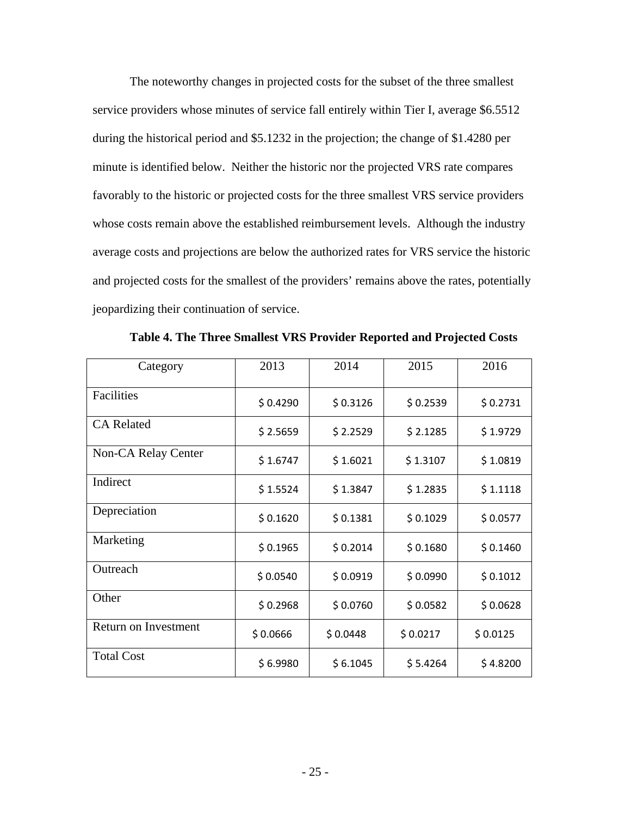The noteworthy changes in projected costs for the subset of the three smallest service providers whose minutes of service fall entirely within Tier I, average \$6.5512 during the historical period and \$5.1232 in the projection; the change of \$1.4280 per minute is identified below. Neither the historic nor the projected VRS rate compares favorably to the historic or projected costs for the three smallest VRS service providers whose costs remain above the established reimbursement levels. Although the industry average costs and projections are below the authorized rates for VRS service the historic and projected costs for the smallest of the providers' remains above the rates, potentially jeopardizing their continuation of service.

| Category             | 2013     | 2014     | 2015     | 2016     |
|----------------------|----------|----------|----------|----------|
| Facilities           | \$0.4290 | \$0.3126 | \$0.2539 | \$0.2731 |
| <b>CA</b> Related    | \$2.5659 | \$2.2529 | \$2.1285 | \$1.9729 |
| Non-CA Relay Center  | \$1.6747 | \$1.6021 | \$1.3107 | \$1.0819 |
| Indirect             | \$1.5524 | \$1.3847 | \$1.2835 | \$1.1118 |
| Depreciation         | \$0.1620 | \$0.1381 | \$0.1029 | \$0.0577 |
| Marketing            | \$0.1965 | \$0.2014 | \$0.1680 | \$0.1460 |
| Outreach             | \$0.0540 | \$0.0919 | \$0.0990 | \$0.1012 |
| Other                | \$0.2968 | \$0.0760 | \$0.0582 | \$0.0628 |
| Return on Investment | \$0.0666 | \$0.0448 | \$0.0217 | \$0.0125 |
| <b>Total Cost</b>    | \$6.9980 | \$6.1045 | \$5.4264 | \$4.8200 |

**Table 4. The Three Smallest VRS Provider Reported and Projected Costs**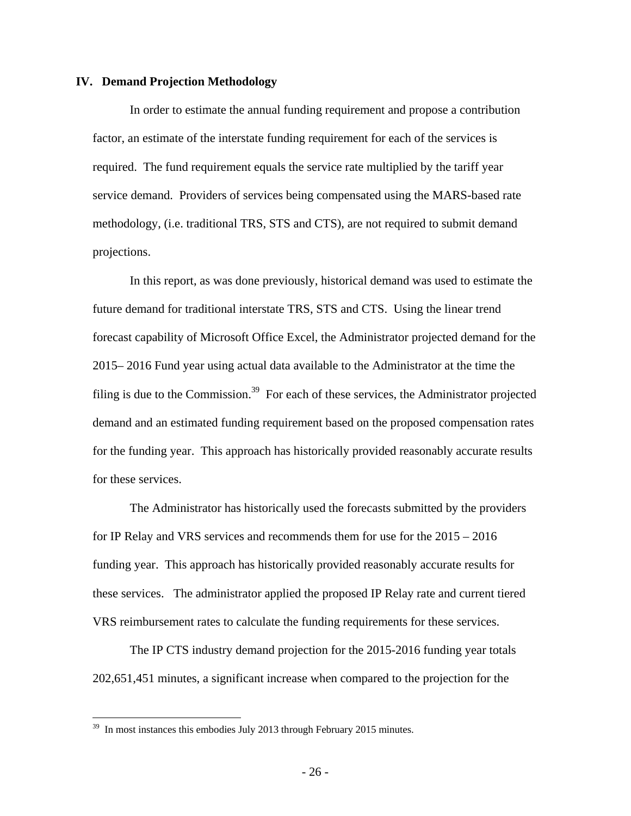#### **IV. Demand Projection Methodology**

In order to estimate the annual funding requirement and propose a contribution factor, an estimate of the interstate funding requirement for each of the services is required. The fund requirement equals the service rate multiplied by the tariff year service demand. Providers of services being compensated using the MARS-based rate methodology, (i.e. traditional TRS, STS and CTS), are not required to submit demand projections.

In this report, as was done previously, historical demand was used to estimate the future demand for traditional interstate TRS, STS and CTS. Using the linear trend forecast capability of Microsoft Office Excel, the Administrator projected demand for the 2015– 2016 Fund year using actual data available to the Administrator at the time the filing is due to the Commission.<sup>39</sup> For each of these services, the Administrator projected demand and an estimated funding requirement based on the proposed compensation rates for the funding year. This approach has historically provided reasonably accurate results for these services.

The Administrator has historically used the forecasts submitted by the providers for IP Relay and VRS services and recommends them for use for the 2015 – 2016 funding year. This approach has historically provided reasonably accurate results for these services. The administrator applied the proposed IP Relay rate and current tiered VRS reimbursement rates to calculate the funding requirements for these services.

The IP CTS industry demand projection for the 2015-2016 funding year totals 202,651,451 minutes, a significant increase when compared to the projection for the

<u>.</u>

<sup>&</sup>lt;sup>39</sup> In most instances this embodies July 2013 through February 2015 minutes.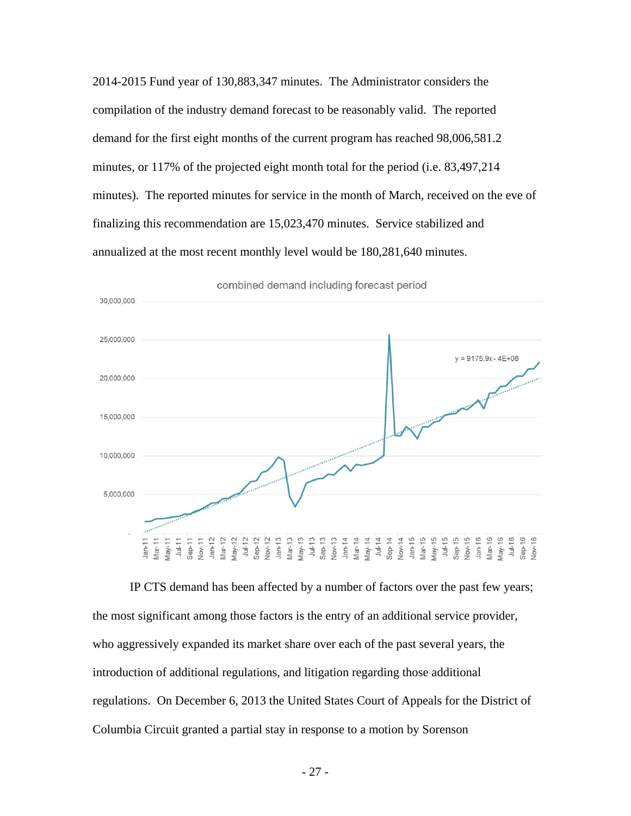2014-2015 Fund year of 130,883,347 minutes. The Administrator considers the compilation of the industry demand forecast to be reasonably valid. The reported demand for the first eight months of the current program has reached 98,006,581.2 minutes, or 117% of the projected eight month total for the period (i.e. 83,497,214 minutes). The reported minutes for service in the month of March, received on the eve of finalizing this recommendation are 15,023,470 minutes. Service stabilized and annualized at the most recent monthly level would be 180,281,640 minutes.



combined demand including forecast period

IP CTS demand has been affected by a number of factors over the past few years; the most significant among those factors is the entry of an additional service provider, who aggressively expanded its market share over each of the past several years, the introduction of additional regulations, and litigation regarding those additional regulations. On December 6, 2013 the United States Court of Appeals for the District of Columbia Circuit granted a partial stay in response to a motion by Sorenson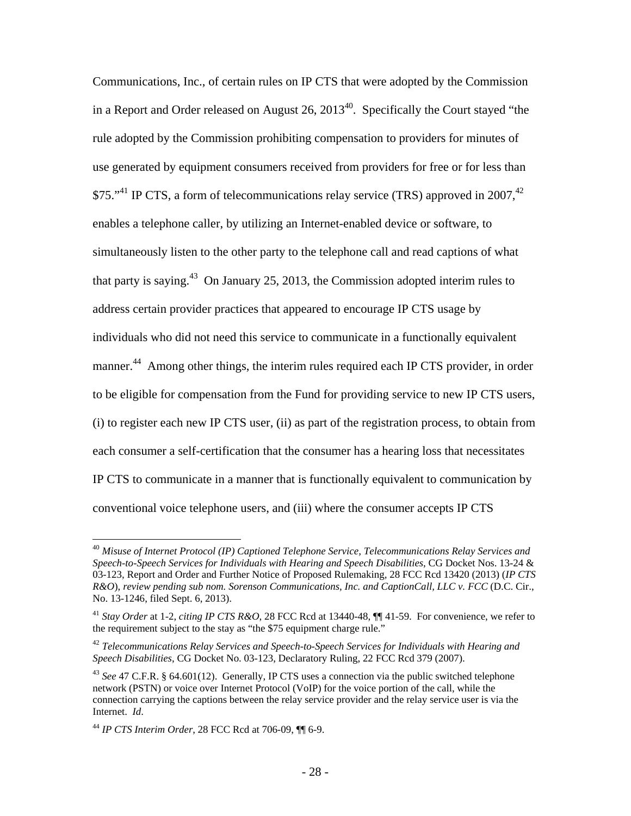Communications, Inc., of certain rules on IP CTS that were adopted by the Commission in a Report and Order released on August  $26$ ,  $2013^{40}$ . Specifically the Court stayed "the rule adopted by the Commission prohibiting compensation to providers for minutes of use generated by equipment consumers received from providers for free or for less than \$75."<sup>41</sup> IP CTS, a form of telecommunications relay service (TRS) approved in 2007,<sup>42</sup> enables a telephone caller, by utilizing an Internet-enabled device or software, to simultaneously listen to the other party to the telephone call and read captions of what that party is saying.<sup>43</sup> On January 25, 2013, the Commission adopted interim rules to address certain provider practices that appeared to encourage IP CTS usage by individuals who did not need this service to communicate in a functionally equivalent manner.<sup>44</sup> Among other things, the interim rules required each IP CTS provider, in order to be eligible for compensation from the Fund for providing service to new IP CTS users, (i) to register each new IP CTS user, (ii) as part of the registration process, to obtain from each consumer a self-certification that the consumer has a hearing loss that necessitates IP CTS to communicate in a manner that is functionally equivalent to communication by conventional voice telephone users, and (iii) where the consumer accepts IP CTS

<sup>40</sup> *Misuse of Internet Protocol (IP) Captioned Telephone Service, Telecommunications Relay Services and Speech-to-Speech Services for Individuals with Hearing and Speech Disabilities*, CG Docket Nos. 13-24 & 03-123, Report and Order and Further Notice of Proposed Rulemaking, 28 FCC Rcd 13420 (2013) (*IP CTS R&O*), *review pending sub nom. Sorenson Communications, Inc. and CaptionCall, LLC v. FCC* (D.C. Cir., No. 13-1246, filed Sept. 6, 2013).

<sup>41</sup> *Stay Order* at 1-2, *citing IP CTS R&O,* 28 FCC Rcd at 13440-48, ¶¶ 41-59. For convenience, we refer to the requirement subject to the stay as "the \$75 equipment charge rule."

<sup>42</sup> *Telecommunications Relay Services and Speech-to-Speech Services for Individuals with Hearing and Speech Disabilities*, CG Docket No. 03-123, Declaratory Ruling, 22 FCC Rcd 379 (2007).

<sup>43</sup> *See* 47 C.F.R. § 64.601(12). Generally, IP CTS uses a connection via the public switched telephone network (PSTN) or voice over Internet Protocol (VoIP) for the voice portion of the call, while the connection carrying the captions between the relay service provider and the relay service user is via the Internet. *Id*.

<sup>44</sup> *IP CTS Interim Order*, 28 FCC Rcd at 706-09, ¶¶ 6-9.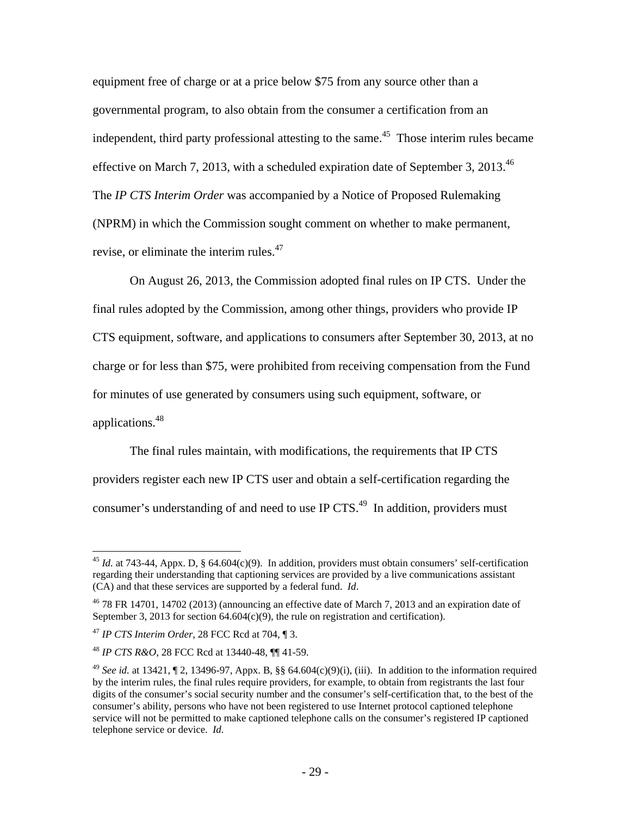equipment free of charge or at a price below \$75 from any source other than a governmental program, to also obtain from the consumer a certification from an independent, third party professional attesting to the same.<sup>45</sup> Those interim rules became effective on March 7, 2013, with a scheduled expiration date of September 3, 2013.<sup>46</sup> The *IP CTS Interim Order* was accompanied by a Notice of Proposed Rulemaking (NPRM) in which the Commission sought comment on whether to make permanent, revise, or eliminate the interim rules.<sup>47</sup>

On August 26, 2013, the Commission adopted final rules on IP CTS. Under the final rules adopted by the Commission, among other things, providers who provide IP CTS equipment, software, and applications to consumers after September 30, 2013, at no charge or for less than \$75, were prohibited from receiving compensation from the Fund for minutes of use generated by consumers using such equipment, software, or applications.48

The final rules maintain, with modifications, the requirements that IP CTS providers register each new IP CTS user and obtain a self-certification regarding the consumer's understanding of and need to use IP CTS.<sup>49</sup> In addition, providers must

<sup>45</sup> *Id.* at 743-44, Appx. D, § 64.604(c)(9). In addition, providers must obtain consumers' self-certification regarding their understanding that captioning services are provided by a live communications assistant (CA) and that these services are supported by a federal fund. *Id*.

 $46$  78 FR 14701, 14702 (2013) (announcing an effective date of March 7, 2013 and an expiration date of September 3, 2013 for section  $64.604(c)(9)$ , the rule on registration and certification).

<sup>47</sup> *IP CTS Interim Order*, 28 FCC Rcd at 704, ¶ 3.

<sup>48</sup> *IP CTS R&O*, 28 FCC Rcd at 13440-48, ¶¶ 41-59.

<sup>&</sup>lt;sup>49</sup> *See id.* at 13421,  $\P$  2, 13496-97, Appx. B, §§ 64.604(c)(9)(i), (iii). In addition to the information required by the interim rules, the final rules require providers, for example, to obtain from registrants the last four digits of the consumer's social security number and the consumer's self-certification that, to the best of the consumer's ability, persons who have not been registered to use Internet protocol captioned telephone service will not be permitted to make captioned telephone calls on the consumer's registered IP captioned telephone service or device. *Id.*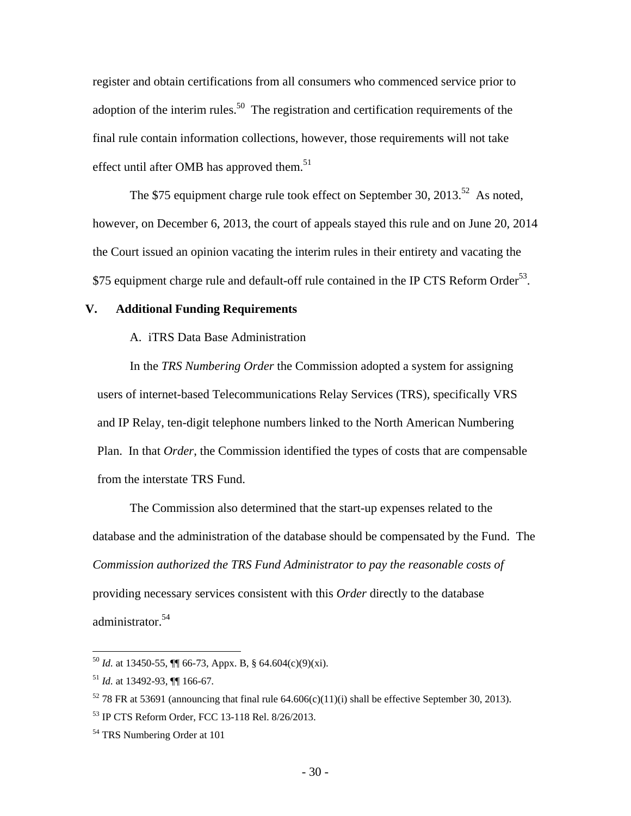register and obtain certifications from all consumers who commenced service prior to adoption of the interim rules.<sup>50</sup> The registration and certification requirements of the final rule contain information collections, however, those requirements will not take effect until after OMB has approved them.<sup>51</sup>

The \$75 equipment charge rule took effect on September 30, 2013.<sup>52</sup> As noted, however, on December 6, 2013, the court of appeals stayed this rule and on June 20, 2014 the Court issued an opinion vacating the interim rules in their entirety and vacating the \$75 equipment charge rule and default-off rule contained in the IP CTS Reform Order<sup>53</sup>.

### **V. Additional Funding Requirements**

A. iTRS Data Base Administration

In the *TRS Numbering Order* the Commission adopted a system for assigning users of internet-based Telecommunications Relay Services (TRS), specifically VRS and IP Relay, ten-digit telephone numbers linked to the North American Numbering Plan. In that *Order*, the Commission identified the types of costs that are compensable from the interstate TRS Fund.

The Commission also determined that the start-up expenses related to the database and the administration of the database should be compensated by the Fund. The *Commission authorized the TRS Fund Administrator to pay the reasonable costs of* providing necessary services consistent with this *Order* directly to the database administrator.<sup>54</sup>

 $^{50}$  *Id.* at 13450-55,  $\P$  66-73, Appx. B, § 64.604(c)(9)(xi).

<sup>51</sup> *Id.* at 13492-93, ¶¶ 166-67*.*

<sup>&</sup>lt;sup>52</sup> 78 FR at 53691 (announcing that final rule 64.606(c)(11)(i) shall be effective September 30, 2013).

<sup>53</sup> IP CTS Reform Order, FCC 13-118 Rel. 8/26/2013.

<sup>54</sup> TRS Numbering Order at 101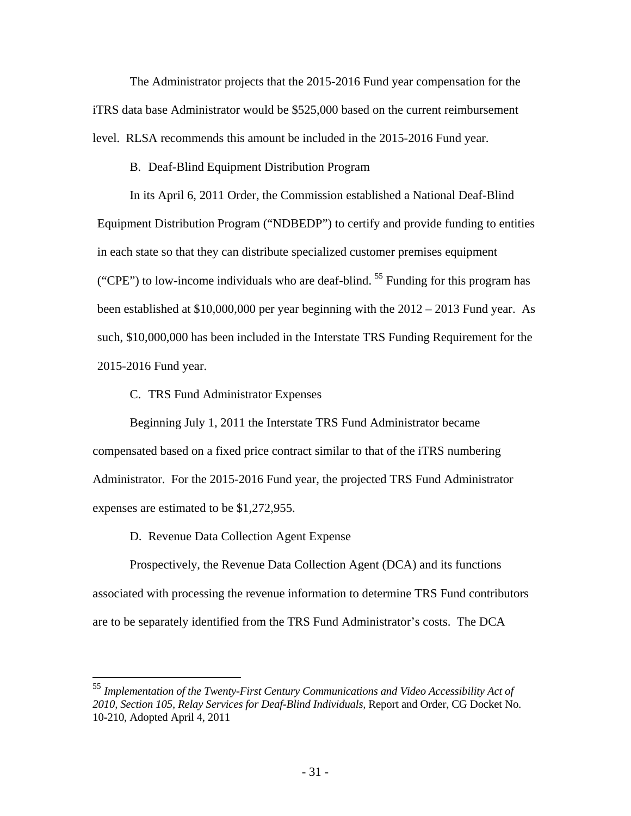The Administrator projects that the 2015-2016 Fund year compensation for the iTRS data base Administrator would be \$525,000 based on the current reimbursement level. RLSA recommends this amount be included in the 2015-2016 Fund year.

B. Deaf-Blind Equipment Distribution Program

In its April 6, 2011 Order, the Commission established a National Deaf-Blind Equipment Distribution Program ("NDBEDP") to certify and provide funding to entities in each state so that they can distribute specialized customer premises equipment ("CPE") to low-income individuals who are deaf-blind.  $55$  Funding for this program has been established at \$10,000,000 per year beginning with the 2012 – 2013 Fund year. As such, \$10,000,000 has been included in the Interstate TRS Funding Requirement for the 2015-2016 Fund year.

C. TRS Fund Administrator Expenses

Beginning July 1, 2011 the Interstate TRS Fund Administrator became compensated based on a fixed price contract similar to that of the iTRS numbering Administrator. For the 2015-2016 Fund year, the projected TRS Fund Administrator expenses are estimated to be \$1,272,955.

D. Revenue Data Collection Agent Expense

 $\overline{a}$ 

Prospectively, the Revenue Data Collection Agent (DCA) and its functions associated with processing the revenue information to determine TRS Fund contributors are to be separately identified from the TRS Fund Administrator's costs. The DCA

<sup>55</sup> *Implementation of the Twenty-First Century Communications and Video Accessibility Act of 2010, Section 105, Relay Services for Deaf-Blind Individuals,* Report and Order, CG Docket No. 10-210, Adopted April 4, 2011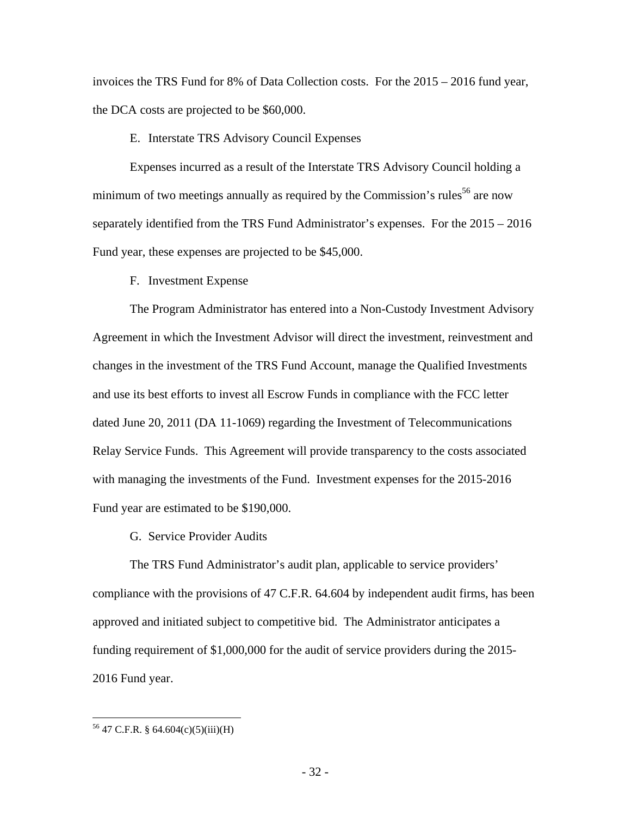invoices the TRS Fund for 8% of Data Collection costs. For the 2015 – 2016 fund year, the DCA costs are projected to be \$60,000.

## E. Interstate TRS Advisory Council Expenses

Expenses incurred as a result of the Interstate TRS Advisory Council holding a minimum of two meetings annually as required by the Commission's rules<sup>56</sup> are now separately identified from the TRS Fund Administrator's expenses. For the 2015 – 2016 Fund year, these expenses are projected to be \$45,000.

F. Investment Expense

The Program Administrator has entered into a Non-Custody Investment Advisory Agreement in which the Investment Advisor will direct the investment, reinvestment and changes in the investment of the TRS Fund Account, manage the Qualified Investments and use its best efforts to invest all Escrow Funds in compliance with the FCC letter dated June 20, 2011 (DA 11-1069) regarding the Investment of Telecommunications Relay Service Funds. This Agreement will provide transparency to the costs associated with managing the investments of the Fund. Investment expenses for the 2015-2016 Fund year are estimated to be \$190,000.

G. Service Provider Audits

The TRS Fund Administrator's audit plan, applicable to service providers' compliance with the provisions of 47 C.F.R. 64.604 by independent audit firms, has been approved and initiated subject to competitive bid. The Administrator anticipates a funding requirement of \$1,000,000 for the audit of service providers during the 2015- 2016 Fund year.

<sup>56 47</sup> C.F.R. § 64.604(c)(5)(iii)(H)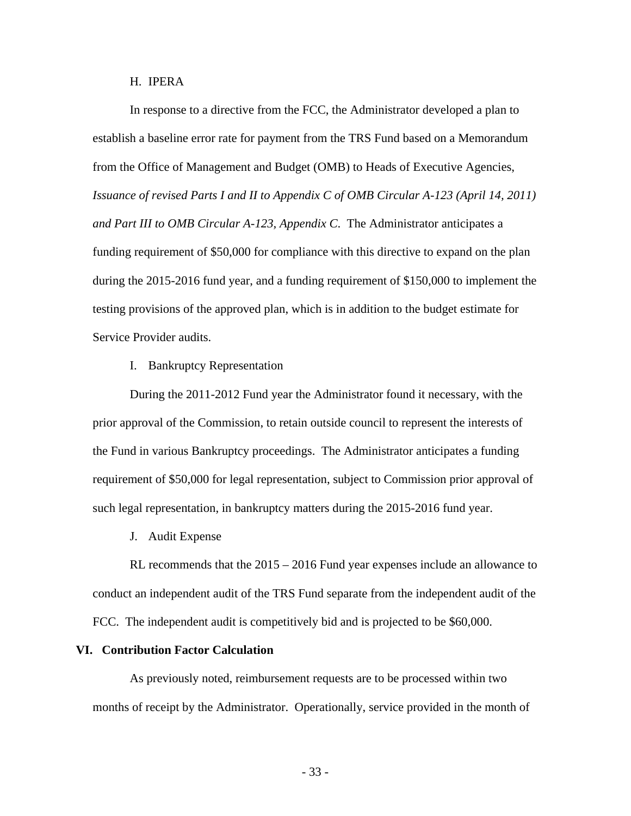H. IPERA

In response to a directive from the FCC, the Administrator developed a plan to establish a baseline error rate for payment from the TRS Fund based on a Memorandum from the Office of Management and Budget (OMB) to Heads of Executive Agencies, *Issuance of revised Parts I and II to Appendix C of OMB Circular A-123 (April 14, 2011) and Part III to OMB Circular A-123, Appendix C*. The Administrator anticipates a funding requirement of \$50,000 for compliance with this directive to expand on the plan during the 2015-2016 fund year, and a funding requirement of \$150,000 to implement the testing provisions of the approved plan, which is in addition to the budget estimate for Service Provider audits.

I. Bankruptcy Representation

During the 2011-2012 Fund year the Administrator found it necessary, with the prior approval of the Commission, to retain outside council to represent the interests of the Fund in various Bankruptcy proceedings. The Administrator anticipates a funding requirement of \$50,000 for legal representation, subject to Commission prior approval of such legal representation, in bankruptcy matters during the 2015-2016 fund year.

J. Audit Expense

RL recommends that the 2015 – 2016 Fund year expenses include an allowance to conduct an independent audit of the TRS Fund separate from the independent audit of the FCC. The independent audit is competitively bid and is projected to be \$60,000.

### **VI. Contribution Factor Calculation**

As previously noted, reimbursement requests are to be processed within two months of receipt by the Administrator. Operationally, service provided in the month of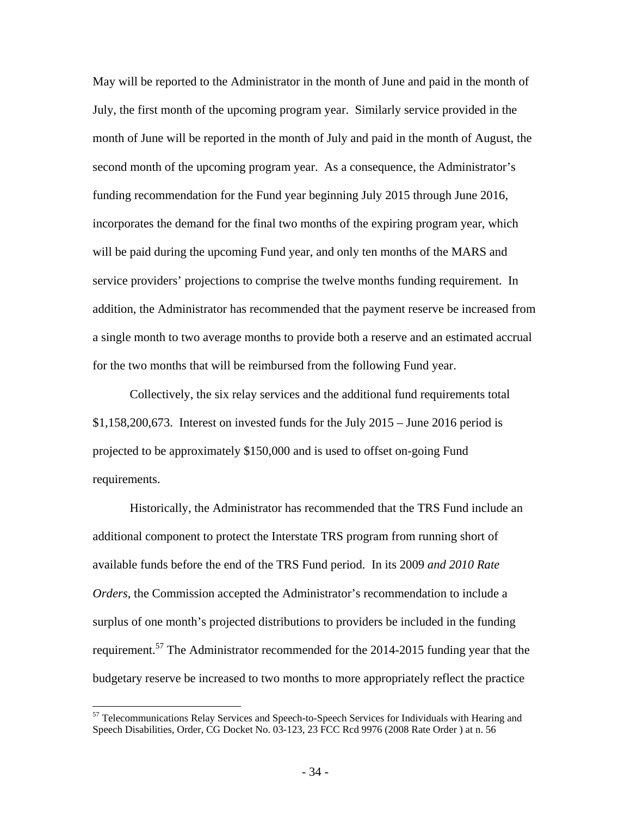May will be reported to the Administrator in the month of June and paid in the month of July, the first month of the upcoming program year. Similarly service provided in the month of June will be reported in the month of July and paid in the month of August, the second month of the upcoming program year. As a consequence, the Administrator's funding recommendation for the Fund year beginning July 2015 through June 2016, incorporates the demand for the final two months of the expiring program year, which will be paid during the upcoming Fund year, and only ten months of the MARS and service providers' projections to comprise the twelve months funding requirement. In addition, the Administrator has recommended that the payment reserve be increased from a single month to two average months to provide both a reserve and an estimated accrual for the two months that will be reimbursed from the following Fund year.

Collectively, the six relay services and the additional fund requirements total  $$1,158,200,673$ . Interest on invested funds for the July  $2015 -$  June 2016 period is projected to be approximately \$150,000 and is used to offset on-going Fund requirements.

Historically, the Administrator has recommended that the TRS Fund include an additional component to protect the Interstate TRS program from running short of available funds before the end of the TRS Fund period. In its 2009 *and 2010 Rate Orders*, the Commission accepted the Administrator's recommendation to include a surplus of one month's projected distributions to providers be included in the funding requirement.57 The Administrator recommended for the 2014-2015 funding year that the budgetary reserve be increased to two months to more appropriately reflect the practice

<sup>&</sup>lt;sup>57</sup> Telecommunications Relay Services and Speech-to-Speech Services for Individuals with Hearing and Speech Disabilities, Order, CG Docket No. 03-123, 23 FCC Rcd 9976 (2008 Rate Order ) at n. 56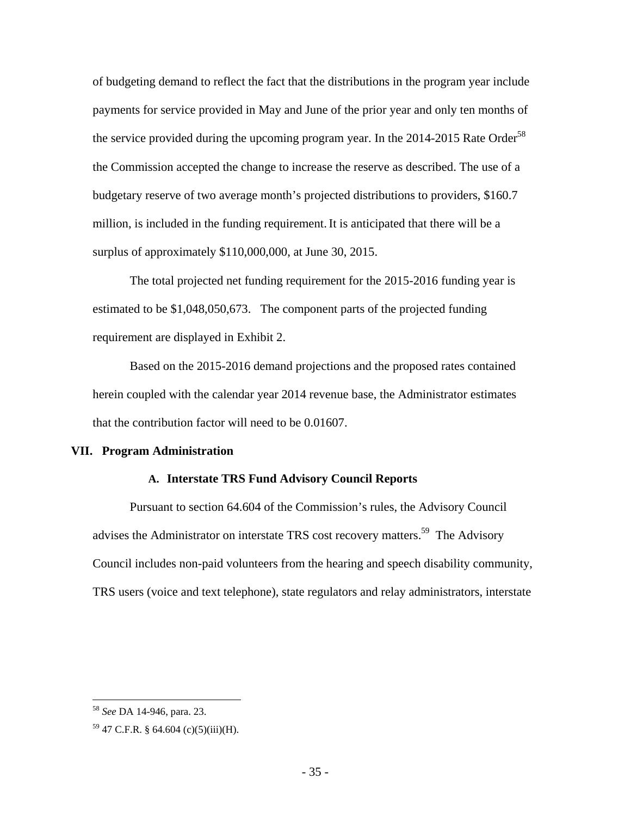of budgeting demand to reflect the fact that the distributions in the program year include payments for service provided in May and June of the prior year and only ten months of the service provided during the upcoming program year. In the 2014-2015 Rate Order<sup>58</sup> the Commission accepted the change to increase the reserve as described. The use of a budgetary reserve of two average month's projected distributions to providers, \$160.7 million, is included in the funding requirement.It is anticipated that there will be a surplus of approximately \$110,000,000, at June 30, 2015.

The total projected net funding requirement for the 2015-2016 funding year is estimated to be \$1,048,050,673. The component parts of the projected funding requirement are displayed in Exhibit 2.

Based on the 2015-2016 demand projections and the proposed rates contained herein coupled with the calendar year 2014 revenue base, the Administrator estimates that the contribution factor will need to be 0.01607.

### **VII. Program Administration**

### **A. Interstate TRS Fund Advisory Council Reports**

Pursuant to section 64.604 of the Commission's rules, the Advisory Council advises the Administrator on interstate TRS cost recovery matters.<sup>59</sup> The Advisory Council includes non-paid volunteers from the hearing and speech disability community, TRS users (voice and text telephone), state regulators and relay administrators, interstate

1

<sup>58</sup> *See* DA 14-946, para. 23.

<sup>59 47</sup> C.F.R. § 64.604 (c)(5)(iii)(H).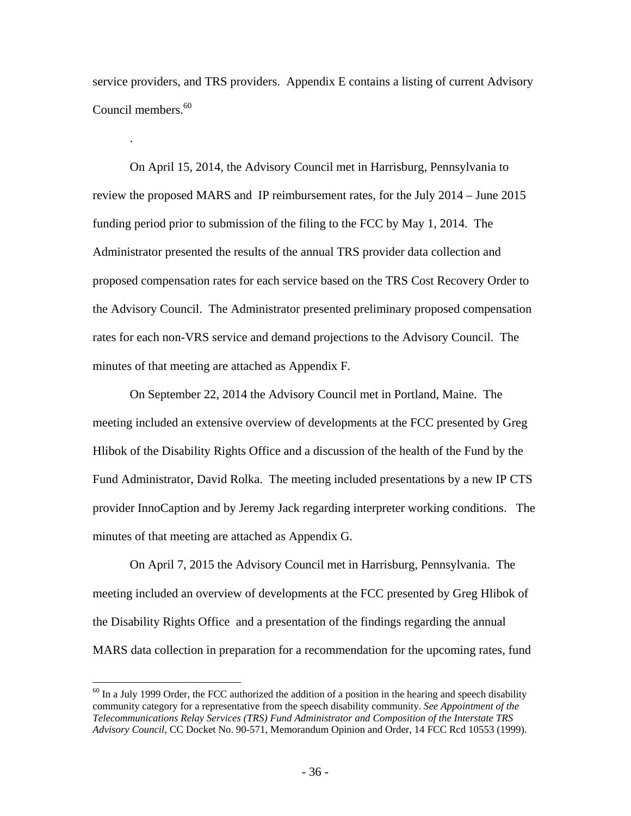service providers, and TRS providers. Appendix E contains a listing of current Advisory Council members.<sup>60</sup>

.

 $\overline{a}$ 

On April 15, 2014, the Advisory Council met in Harrisburg, Pennsylvania to review the proposed MARS and IP reimbursement rates, for the July 2014 – June 2015 funding period prior to submission of the filing to the FCC by May 1, 2014. The Administrator presented the results of the annual TRS provider data collection and proposed compensation rates for each service based on the TRS Cost Recovery Order to the Advisory Council. The Administrator presented preliminary proposed compensation rates for each non-VRS service and demand projections to the Advisory Council. The minutes of that meeting are attached as Appendix F.

On September 22, 2014 the Advisory Council met in Portland, Maine. The meeting included an extensive overview of developments at the FCC presented by Greg Hlibok of the Disability Rights Office and a discussion of the health of the Fund by the Fund Administrator, David Rolka. The meeting included presentations by a new IP CTS provider InnoCaption and by Jeremy Jack regarding interpreter working conditions. The minutes of that meeting are attached as Appendix G.

On April 7, 2015 the Advisory Council met in Harrisburg, Pennsylvania. The meeting included an overview of developments at the FCC presented by Greg Hlibok of the Disability Rights Office and a presentation of the findings regarding the annual MARS data collection in preparation for a recommendation for the upcoming rates, fund

 $^{60}$  In a July 1999 Order, the FCC authorized the addition of a position in the hearing and speech disability community category for a representative from the speech disability community. *See Appointment of the Telecommunications Relay Services (TRS) Fund Administrator and Composition of the Interstate TRS Advisory Council*, CC Docket No. 90-571, Memorandum Opinion and Order, 14 FCC Rcd 10553 (1999).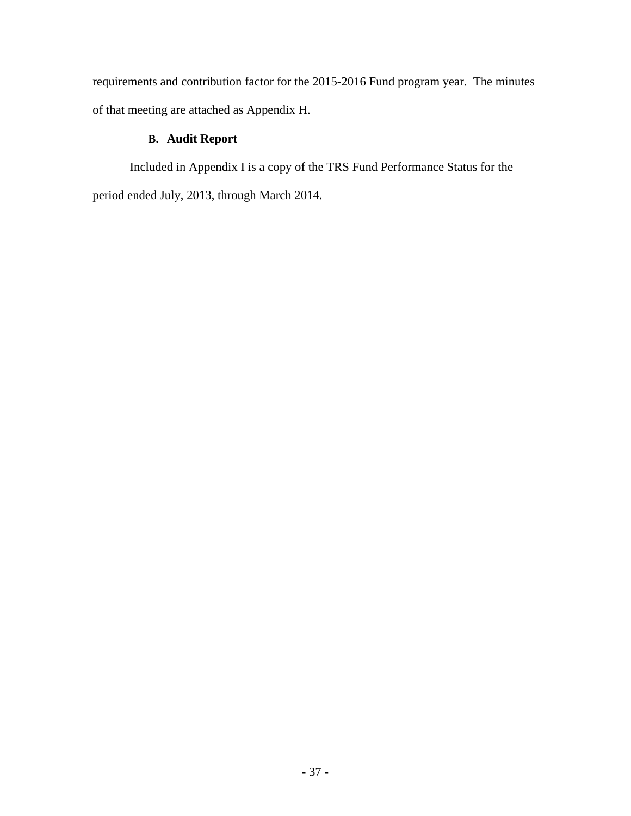requirements and contribution factor for the 2015-2016 Fund program year. The minutes of that meeting are attached as Appendix H.

# **B. Audit Report**

Included in Appendix I is a copy of the TRS Fund Performance Status for the period ended July, 2013, through March 2014.